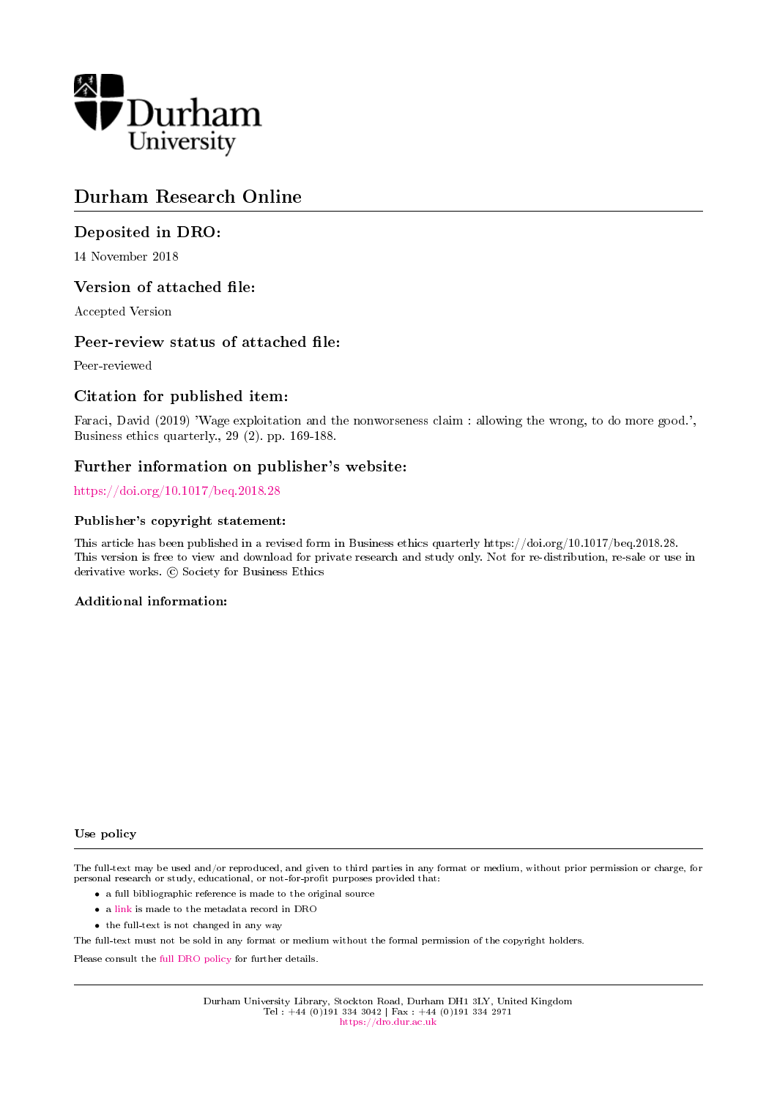

# Durham Research Online

# Deposited in DRO:

14 November 2018

# Version of attached file:

Accepted Version

## Peer-review status of attached file:

Peer-reviewed

# Citation for published item:

Faraci, David (2019) 'Wage exploitation and the nonworseness claim : allowing the wrong, to do more good.', Business ethics quarterly., 29 (2). pp. 169-188.

# Further information on publisher's website:

<https://doi.org/10.1017/beq.2018.28>

### Publisher's copyright statement:

This article has been published in a revised form in Business ethics quarterly https://doi.org/10.1017/beq.2018.28. This version is free to view and download for private research and study only. Not for re-distribution, re-sale or use in derivative works. (c) Society for Business Ethics

### Additional information:

#### Use policy

The full-text may be used and/or reproduced, and given to third parties in any format or medium, without prior permission or charge, for personal research or study, educational, or not-for-profit purposes provided that:

- a full bibliographic reference is made to the original source
- a [link](http://dro.dur.ac.uk/26791/) is made to the metadata record in DRO
- the full-text is not changed in any way

The full-text must not be sold in any format or medium without the formal permission of the copyright holders.

Please consult the [full DRO policy](https://dro.dur.ac.uk/policies/usepolicy.pdf) for further details.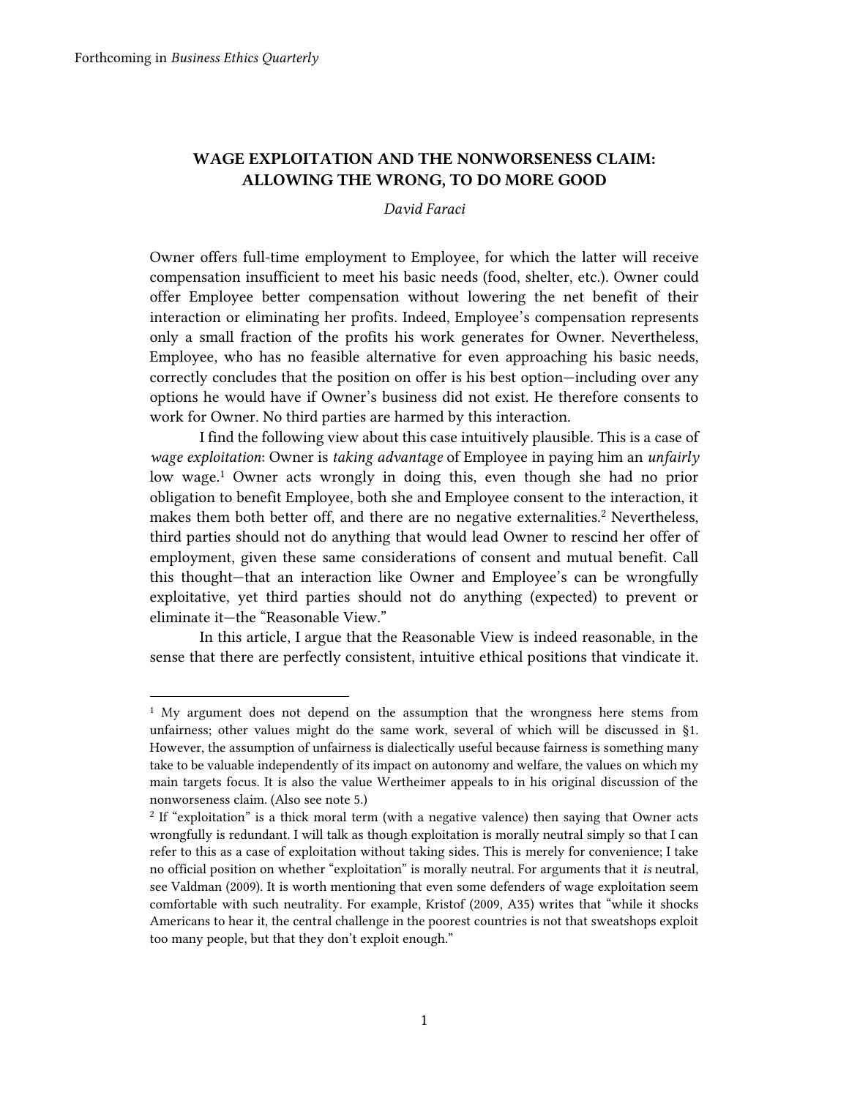$\overline{a}$ 

# **WAGE EXPLOITATION AND THE NONWORSENESS CLAIM: ALLOWING THE WRONG, TO DO MORE GOOD**

### *David Faraci*

Owner offers full-time employment to Employee, for which the latter will receive compensation insufficient to meet his basic needs (food, shelter, etc.). Owner could offer Employee better compensation without lowering the net benefit of their interaction or eliminating her profits. Indeed, Employee's compensation represents only a small fraction of the profits his work generates for Owner. Nevertheless, Employee, who has no feasible alternative for even approaching his basic needs, correctly concludes that the position on offer is his best option—including over any options he would have if Owner's business did not exist. He therefore consents to work for Owner. No third parties are harmed by this interaction.

I find the following view about this case intuitively plausible. This is a case of *wage exploitation*: Owner is *taking advantage* of Employee in paying him an *unfairly*  low wage. <sup>1</sup> Owner acts wrongly in doing this, even though she had no prior obligation to benefit Employee, both she and Employee consent to the interaction, it makes them both better off, and there are no negative externalities.<sup>2</sup> Nevertheless, third parties should not do anything that would lead Owner to rescind her offer of employment, given these same considerations of consent and mutual benefit. Call this thought—that an interaction like Owner and Employee's can be wrongfully exploitative, yet third parties should not do anything (expected) to prevent or eliminate it—the "Reasonable View."

In this article, I argue that the Reasonable View is indeed reasonable, in the sense that there are perfectly consistent, intuitive ethical positions that vindicate it.

 $1$  My argument does not depend on the assumption that the wrongness here stems from unfairness; other values might do the same work, several of which will be discussed in §1. However, the assumption of unfairness is dialectically useful because fairness is something many take to be valuable independently of its impact on autonomy and welfare, the values on which my main targets focus. It is also the value Wertheimer appeals to in his original discussion of the nonworseness claim. (Also see note 5.)

<sup>&</sup>lt;sup>2</sup> If "exploitation" is a thick moral term (with a negative valence) then saying that Owner acts wrongfully is redundant. I will talk as though exploitation is morally neutral simply so that I can refer to this as a case of exploitation without taking sides. This is merely for convenience; I take no official position on whether "exploitation" is morally neutral. For arguments that it *is* neutral, see Valdman (2009). It is worth mentioning that even some defenders of wage exploitation seem comfortable with such neutrality. For example, Kristof (2009, A35) writes that "while it shocks Americans to hear it, the central challenge in the poorest countries is not that sweatshops exploit too many people, but that they don't exploit enough."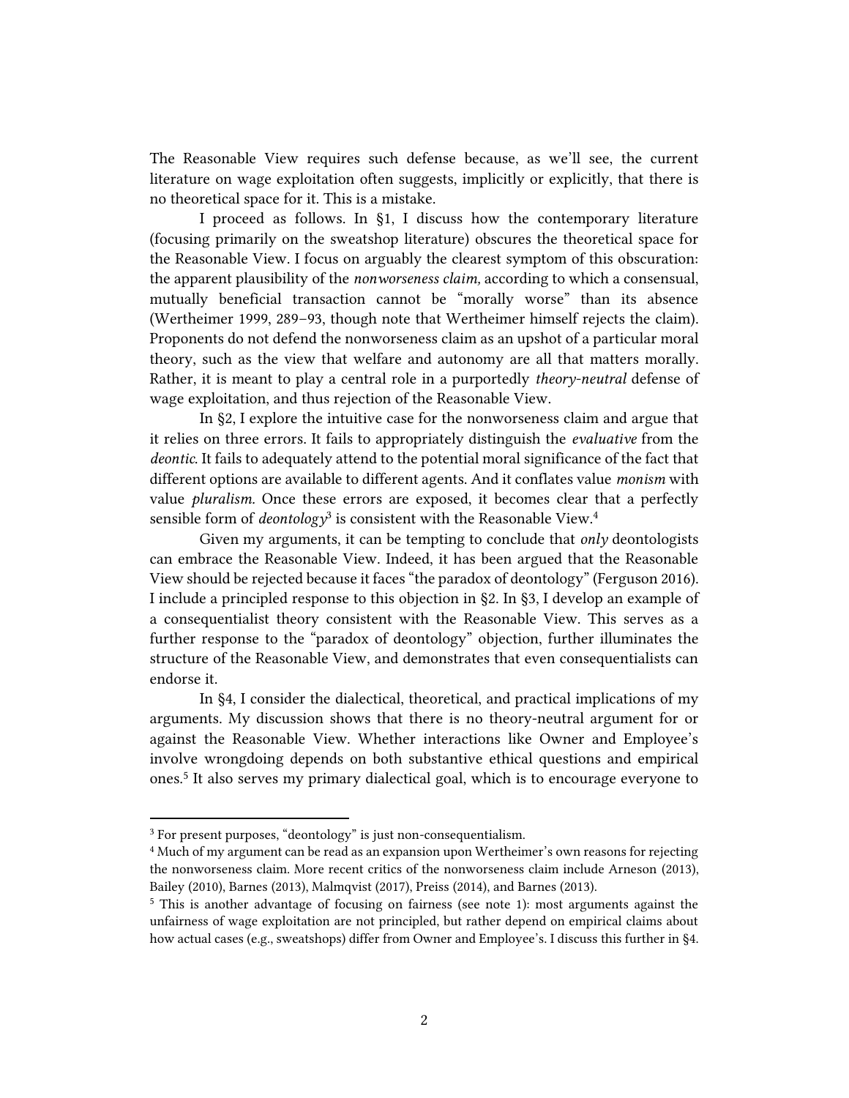The Reasonable View requires such defense because, as we'll see, the current literature on wage exploitation often suggests, implicitly or explicitly, that there is no theoretical space for it. This is a mistake.

I proceed as follows. In §1, I discuss how the contemporary literature (focusing primarily on the sweatshop literature) obscures the theoretical space for the Reasonable View. I focus on arguably the clearest symptom of this obscuration: the apparent plausibility of the *nonworseness claim,* according to which a consensual, mutually beneficial transaction cannot be "morally worse" than its absence (Wertheimer 1999, 289–93, though note that Wertheimer himself rejects the claim). Proponents do not defend the nonworseness claim as an upshot of a particular moral theory, such as the view that welfare and autonomy are all that matters morally. Rather, it is meant to play a central role in a purportedly *theory-neutral* defense of wage exploitation, and thus rejection of the Reasonable View.

In §2, I explore the intuitive case for the nonworseness claim and argue that it relies on three errors. It fails to appropriately distinguish the *evaluative* from the *deontic*. It fails to adequately attend to the potential moral significance of the fact that different options are available to different agents. And it conflates value *monism* with value *pluralism.* Once these errors are exposed, it becomes clear that a perfectly sensible form of *deontology*<sup>3</sup> is consistent with the Reasonable View.<sup>4</sup>

Given my arguments, it can be tempting to conclude that *only* deontologists can embrace the Reasonable View. Indeed, it has been argued that the Reasonable View should be rejected because it faces "the paradox of deontology" (Ferguson 2016). I include a principled response to this objection in §2. In §3, I develop an example of a consequentialist theory consistent with the Reasonable View. This serves as a further response to the "paradox of deontology" objection, further illuminates the structure of the Reasonable View, and demonstrates that even consequentialists can endorse it.

In §4, I consider the dialectical, theoretical, and practical implications of my arguments. My discussion shows that there is no theory-neutral argument for or against the Reasonable View. Whether interactions like Owner and Employee's involve wrongdoing depends on both substantive ethical questions and empirical ones.<sup>5</sup> It also serves my primary dialectical goal, which is to encourage everyone to

<sup>3</sup> For present purposes, "deontology" is just non-consequentialism.

<sup>4</sup> Much of my argument can be read as an expansion upon Wertheimer's own reasons for rejecting the nonworseness claim. More recent critics of the nonworseness claim include Arneson (2013), Bailey (2010), Barnes (2013), Malmqvist (2017), Preiss (2014), and Barnes (2013).

<sup>5</sup> This is another advantage of focusing on fairness (see note 1): most arguments against the unfairness of wage exploitation are not principled, but rather depend on empirical claims about how actual cases (e.g., sweatshops) differ from Owner and Employee's. I discuss this further in §4.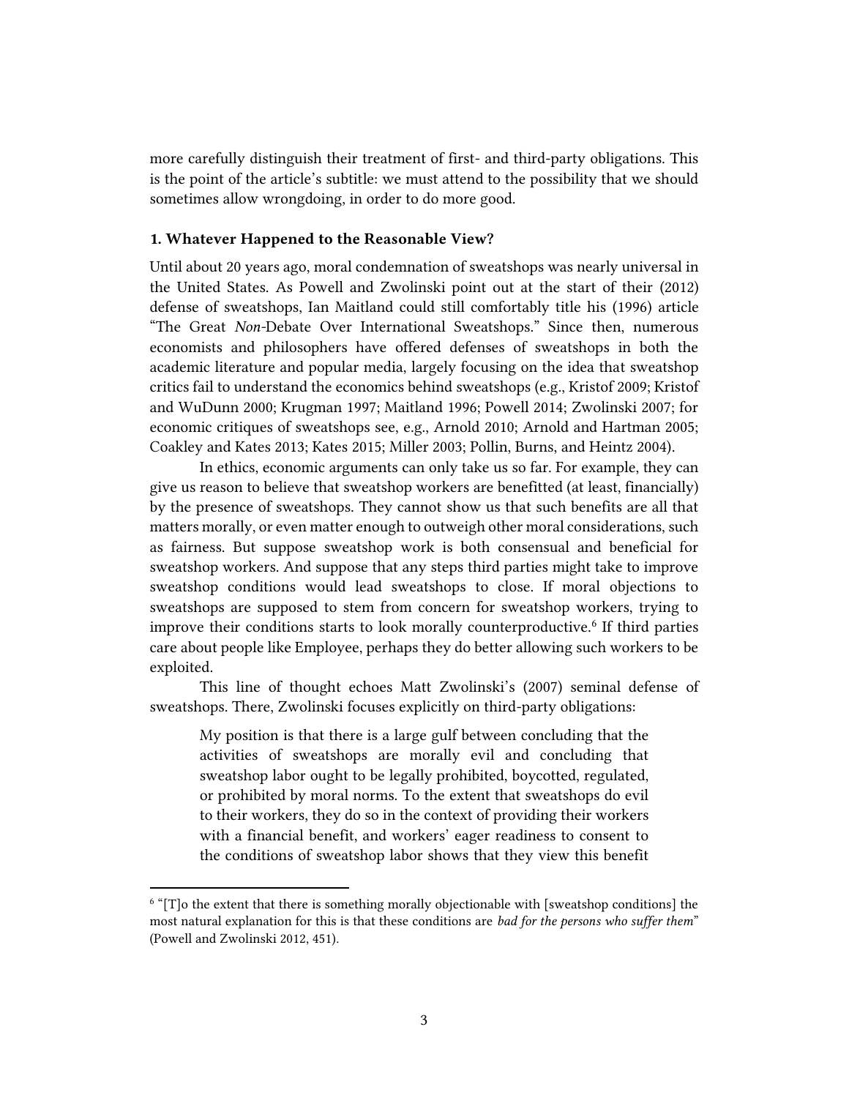more carefully distinguish their treatment of first- and third-party obligations. This is the point of the article's subtitle: we must attend to the possibility that we should sometimes allow wrongdoing, in order to do more good.

### **1. Whatever Happened to the Reasonable View?**

Until about 20 years ago, moral condemnation of sweatshops was nearly universal in the United States. As Powell and Zwolinski point out at the start of their (2012) defense of sweatshops, Ian Maitland could still comfortably title his (1996) article "The Great *Non-*Debate Over International Sweatshops." Since then, numerous economists and philosophers have offered defenses of sweatshops in both the academic literature and popular media, largely focusing on the idea that sweatshop critics fail to understand the economics behind sweatshops (e.g., Kristof 2009; Kristof and WuDunn 2000; Krugman 1997; Maitland 1996; Powell 2014; Zwolinski 2007; for economic critiques of sweatshops see, e.g., Arnold 2010; Arnold and Hartman 2005; Coakley and Kates 2013; Kates 2015; Miller 2003; Pollin, Burns, and Heintz 2004).

In ethics, economic arguments can only take us so far. For example, they can give us reason to believe that sweatshop workers are benefitted (at least, financially) by the presence of sweatshops. They cannot show us that such benefits are all that matters morally, or even matter enough to outweigh other moral considerations, such as fairness. But suppose sweatshop work is both consensual and beneficial for sweatshop workers. And suppose that any steps third parties might take to improve sweatshop conditions would lead sweatshops to close. If moral objections to sweatshops are supposed to stem from concern for sweatshop workers, trying to improve their conditions starts to look morally counterproductive.<sup>6</sup> If third parties care about people like Employee, perhaps they do better allowing such workers to be exploited.

This line of thought echoes Matt Zwolinski's (2007) seminal defense of sweatshops. There, Zwolinski focuses explicitly on third-party obligations:

My position is that there is a large gulf between concluding that the activities of sweatshops are morally evil and concluding that sweatshop labor ought to be legally prohibited, boycotted, regulated, or prohibited by moral norms. To the extent that sweatshops do evil to their workers, they do so in the context of providing their workers with a financial benefit, and workers' eager readiness to consent to the conditions of sweatshop labor shows that they view this benefit

<sup>&</sup>lt;sup>6</sup> "[T]o the extent that there is something morally objectionable with [sweatshop conditions] the most natural explanation for this is that these conditions are *bad for the persons who suffer them*" (Powell and Zwolinski 2012, 451).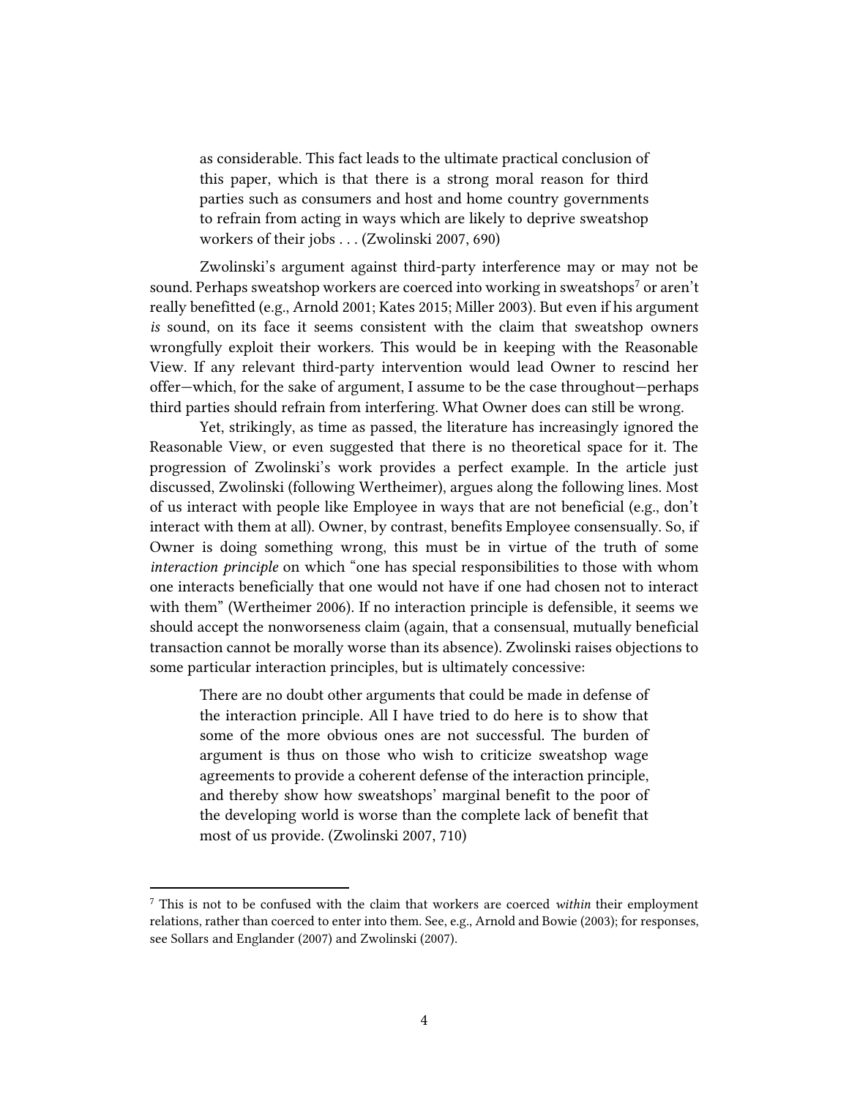as considerable. This fact leads to the ultimate practical conclusion of this paper, which is that there is a strong moral reason for third parties such as consumers and host and home country governments to refrain from acting in ways which are likely to deprive sweatshop workers of their jobs . . . (Zwolinski 2007, 690)

Zwolinski's argument against third-party interference may or may not be sound. Perhaps sweatshop workers are coerced into working in sweatshops<sup>7</sup> or aren't really benefitted (e.g., Arnold 2001; Kates 2015; Miller 2003). But even if his argument *is* sound, on its face it seems consistent with the claim that sweatshop owners wrongfully exploit their workers. This would be in keeping with the Reasonable View. If any relevant third-party intervention would lead Owner to rescind her offer—which, for the sake of argument, I assume to be the case throughout—perhaps third parties should refrain from interfering. What Owner does can still be wrong.

Yet, strikingly, as time as passed, the literature has increasingly ignored the Reasonable View, or even suggested that there is no theoretical space for it. The progression of Zwolinski's work provides a perfect example. In the article just discussed, Zwolinski (following Wertheimer), argues along the following lines. Most of us interact with people like Employee in ways that are not beneficial (e.g., don't interact with them at all). Owner, by contrast, benefits Employee consensually. So, if Owner is doing something wrong, this must be in virtue of the truth of some *interaction principle* on which "one has special responsibilities to those with whom one interacts beneficially that one would not have if one had chosen not to interact with them" (Wertheimer 2006). If no interaction principle is defensible, it seems we should accept the nonworseness claim (again, that a consensual, mutually beneficial transaction cannot be morally worse than its absence). Zwolinski raises objections to some particular interaction principles, but is ultimately concessive:

There are no doubt other arguments that could be made in defense of the interaction principle. All I have tried to do here is to show that some of the more obvious ones are not successful. The burden of argument is thus on those who wish to criticize sweatshop wage agreements to provide a coherent defense of the interaction principle, and thereby show how sweatshops' marginal benefit to the poor of the developing world is worse than the complete lack of benefit that most of us provide. (Zwolinski 2007, 710)

<sup>7</sup> This is not to be confused with the claim that workers are coerced *within* their employment relations, rather than coerced to enter into them. See, e.g., Arnold and Bowie (2003); for responses, see Sollars and Englander (2007) and Zwolinski (2007).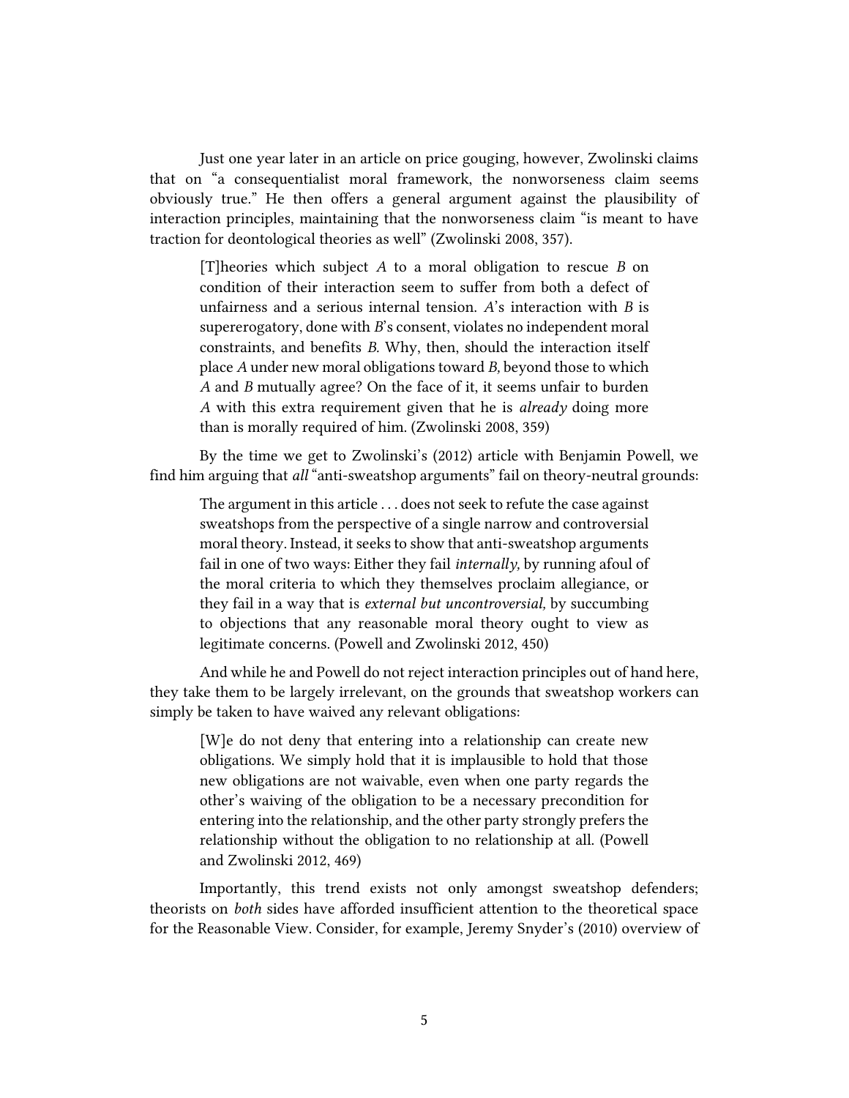Just one year later in an article on price gouging, however, Zwolinski claims that on "a consequentialist moral framework, the nonworseness claim seems obviously true." He then offers a general argument against the plausibility of interaction principles, maintaining that the nonworseness claim "is meant to have traction for deontological theories as well" (Zwolinski 2008, 357).

[T]heories which subject *A* to a moral obligation to rescue *B* on condition of their interaction seem to suffer from both a defect of unfairness and a serious internal tension. *A*'s interaction with *B* is supererogatory, done with *B*'s consent, violates no independent moral constraints, and benefits *B.* Why, then, should the interaction itself place *A* under new moral obligations toward *B,* beyond those to which *A* and *B* mutually agree? On the face of it, it seems unfair to burden *A* with this extra requirement given that he is *already* doing more than is morally required of him. (Zwolinski 2008, 359)

By the time we get to Zwolinski's (2012) article with Benjamin Powell, we find him arguing that *all* "anti-sweatshop arguments" fail on theory-neutral grounds:

The argument in this article . . . does not seek to refute the case against sweatshops from the perspective of a single narrow and controversial moral theory. Instead, it seeks to show that anti-sweatshop arguments fail in one of two ways: Either they fail *internally,* by running afoul of the moral criteria to which they themselves proclaim allegiance, or they fail in a way that is *external but uncontroversial,* by succumbing to objections that any reasonable moral theory ought to view as legitimate concerns. (Powell and Zwolinski 2012, 450)

And while he and Powell do not reject interaction principles out of hand here, they take them to be largely irrelevant, on the grounds that sweatshop workers can simply be taken to have waived any relevant obligations:

[W]e do not deny that entering into a relationship can create new obligations. We simply hold that it is implausible to hold that those new obligations are not waivable, even when one party regards the other's waiving of the obligation to be a necessary precondition for entering into the relationship, and the other party strongly prefers the relationship without the obligation to no relationship at all. (Powell and Zwolinski 2012, 469)

Importantly, this trend exists not only amongst sweatshop defenders; theorists on *both* sides have afforded insufficient attention to the theoretical space for the Reasonable View. Consider, for example, Jeremy Snyder's (2010) overview of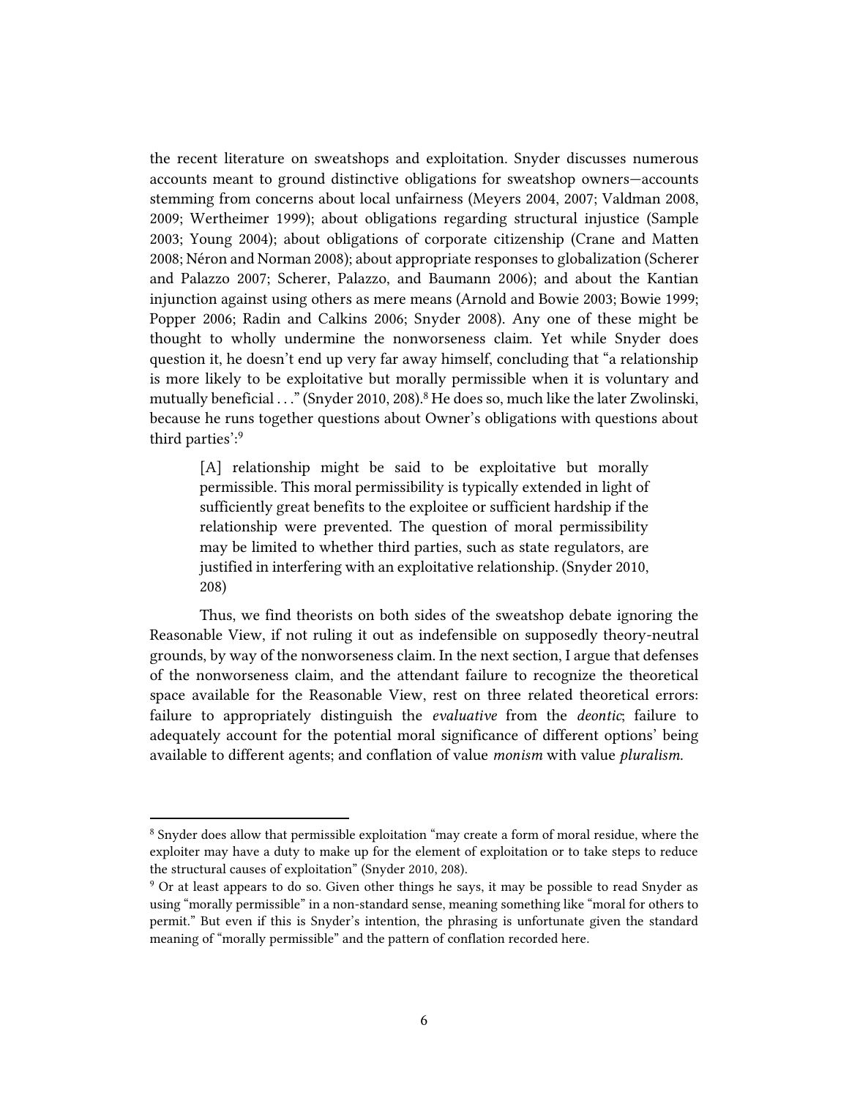the recent literature on sweatshops and exploitation. Snyder discusses numerous accounts meant to ground distinctive obligations for sweatshop owners—accounts stemming from concerns about local unfairness (Meyers 2004, 2007; Valdman 2008, 2009; Wertheimer 1999); about obligations regarding structural injustice (Sample 2003; Young 2004); about obligations of corporate citizenship (Crane and Matten 2008; Néron and Norman 2008); about appropriate responses to globalization (Scherer and Palazzo 2007; Scherer, Palazzo, and Baumann 2006); and about the Kantian injunction against using others as mere means (Arnold and Bowie 2003; Bowie 1999; Popper 2006; Radin and Calkins 2006; Snyder 2008). Any one of these might be thought to wholly undermine the nonworseness claim. Yet while Snyder does question it, he doesn't end up very far away himself, concluding that "a relationship is more likely to be exploitative but morally permissible when it is voluntary and mutually beneficial . . ." (Snyder 2010, 208). <sup>8</sup> He does so, much like the later Zwolinski, because he runs together questions about Owner's obligations with questions about third parties':<sup>9</sup>

[A] relationship might be said to be exploitative but morally permissible. This moral permissibility is typically extended in light of sufficiently great benefits to the exploitee or sufficient hardship if the relationship were prevented. The question of moral permissibility may be limited to whether third parties, such as state regulators, are justified in interfering with an exploitative relationship. (Snyder 2010, 208)

Thus, we find theorists on both sides of the sweatshop debate ignoring the Reasonable View, if not ruling it out as indefensible on supposedly theory-neutral grounds, by way of the nonworseness claim. In the next section, I argue that defenses of the nonworseness claim, and the attendant failure to recognize the theoretical space available for the Reasonable View, rest on three related theoretical errors: failure to appropriately distinguish the *evaluative* from the *deontic*; failure to adequately account for the potential moral significance of different options' being available to different agents; and conflation of value *monism* with value *pluralism*.

<sup>8</sup> Snyder does allow that permissible exploitation "may create a form of moral residue, where the exploiter may have a duty to make up for the element of exploitation or to take steps to reduce the structural causes of exploitation" (Snyder 2010, 208).

<sup>&</sup>lt;sup>9</sup> Or at least appears to do so. Given other things he says, it may be possible to read Snyder as using "morally permissible" in a non-standard sense, meaning something like "moral for others to permit." But even if this is Snyder's intention, the phrasing is unfortunate given the standard meaning of "morally permissible" and the pattern of conflation recorded here.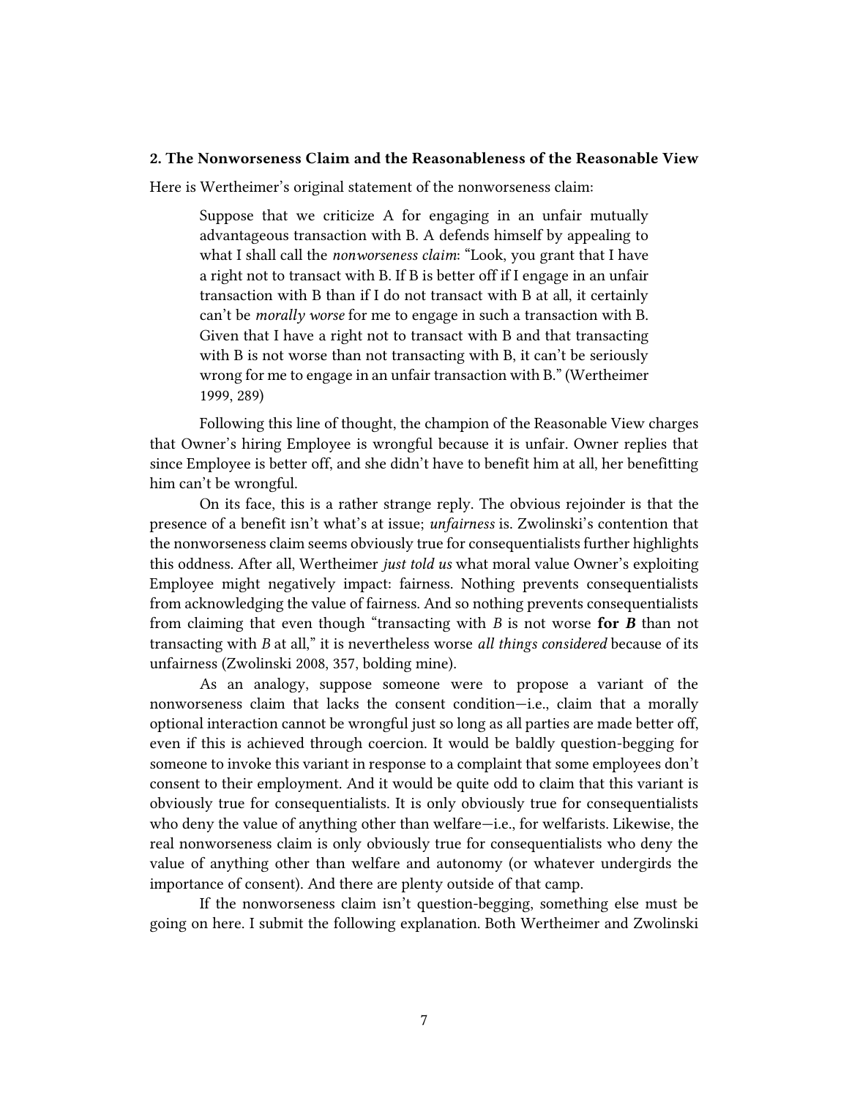### **2. The Nonworseness Claim and the Reasonableness of the Reasonable View**

Here is Wertheimer's original statement of the nonworseness claim:

Suppose that we criticize A for engaging in an unfair mutually advantageous transaction with B. A defends himself by appealing to what I shall call the *nonworseness claim*: "Look, you grant that I have a right not to transact with B. If B is better off if I engage in an unfair transaction with B than if I do not transact with B at all, it certainly can't be *morally worse* for me to engage in such a transaction with B. Given that I have a right not to transact with B and that transacting with B is not worse than not transacting with B, it can't be seriously wrong for me to engage in an unfair transaction with B." (Wertheimer 1999, 289)

Following this line of thought, the champion of the Reasonable View charges that Owner's hiring Employee is wrongful because it is unfair. Owner replies that since Employee is better off, and she didn't have to benefit him at all, her benefitting him can't be wrongful.

On its face, this is a rather strange reply. The obvious rejoinder is that the presence of a benefit isn't what's at issue; *unfairness* is. Zwolinski's contention that the nonworseness claim seems obviously true for consequentialists further highlights this oddness. After all, Wertheimer *just told us* what moral value Owner's exploiting Employee might negatively impact: fairness. Nothing prevents consequentialists from acknowledging the value of fairness. And so nothing prevents consequentialists from claiming that even though "transacting with *B* is not worse **for** *B* than not transacting with *B* at all," it is nevertheless worse *all things considered* because of its unfairness (Zwolinski 2008, 357, bolding mine).

As an analogy, suppose someone were to propose a variant of the nonworseness claim that lacks the consent condition—i.e., claim that a morally optional interaction cannot be wrongful just so long as all parties are made better off, even if this is achieved through coercion. It would be baldly question-begging for someone to invoke this variant in response to a complaint that some employees don't consent to their employment. And it would be quite odd to claim that this variant is obviously true for consequentialists. It is only obviously true for consequentialists who deny the value of anything other than welfare—i.e., for welfarists. Likewise, the real nonworseness claim is only obviously true for consequentialists who deny the value of anything other than welfare and autonomy (or whatever undergirds the importance of consent). And there are plenty outside of that camp.

If the nonworseness claim isn't question-begging, something else must be going on here. I submit the following explanation. Both Wertheimer and Zwolinski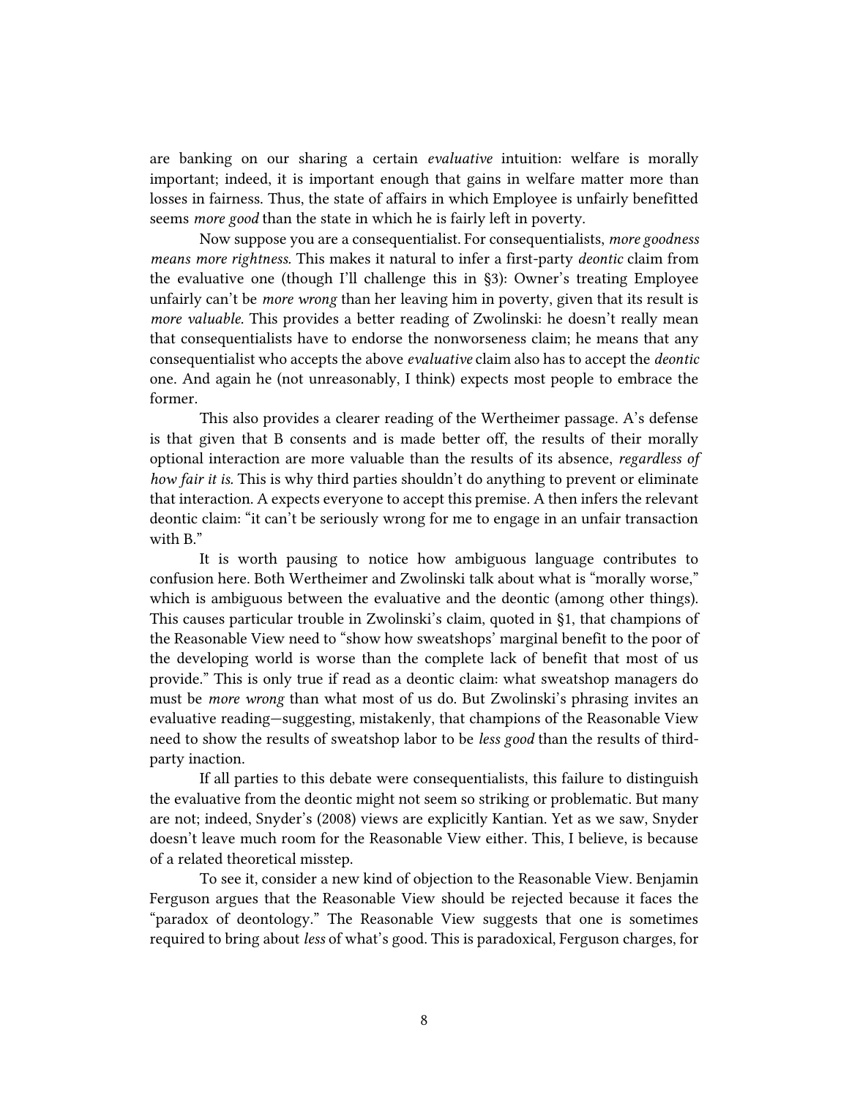are banking on our sharing a certain *evaluative* intuition: welfare is morally important; indeed, it is important enough that gains in welfare matter more than losses in fairness. Thus, the state of affairs in which Employee is unfairly benefitted seems *more good* than the state in which he is fairly left in poverty.

Now suppose you are a consequentialist. For consequentialists, *more goodness means more rightness.* This makes it natural to infer a first-party *deontic* claim from the evaluative one (though I'll challenge this in §3): Owner's treating Employee unfairly can't be *more wrong* than her leaving him in poverty, given that its result is *more valuable.* This provides a better reading of Zwolinski: he doesn't really mean that consequentialists have to endorse the nonworseness claim; he means that any consequentialist who accepts the above *evaluative* claim also has to accept the *deontic* one. And again he (not unreasonably, I think) expects most people to embrace the former.

This also provides a clearer reading of the Wertheimer passage. A's defense is that given that B consents and is made better off, the results of their morally optional interaction are more valuable than the results of its absence, *regardless of how fair it is.* This is why third parties shouldn't do anything to prevent or eliminate that interaction. A expects everyone to accept this premise. A then infers the relevant deontic claim: "it can't be seriously wrong for me to engage in an unfair transaction with B."

It is worth pausing to notice how ambiguous language contributes to confusion here. Both Wertheimer and Zwolinski talk about what is "morally worse," which is ambiguous between the evaluative and the deontic (among other things). This causes particular trouble in Zwolinski's claim, quoted in §1, that champions of the Reasonable View need to "show how sweatshops' marginal benefit to the poor of the developing world is worse than the complete lack of benefit that most of us provide." This is only true if read as a deontic claim: what sweatshop managers do must be *more wrong* than what most of us do. But Zwolinski's phrasing invites an evaluative reading—suggesting, mistakenly, that champions of the Reasonable View need to show the results of sweatshop labor to be *less good* than the results of thirdparty inaction.

If all parties to this debate were consequentialists, this failure to distinguish the evaluative from the deontic might not seem so striking or problematic. But many are not; indeed, Snyder's (2008) views are explicitly Kantian. Yet as we saw, Snyder doesn't leave much room for the Reasonable View either. This, I believe, is because of a related theoretical misstep.

To see it, consider a new kind of objection to the Reasonable View. Benjamin Ferguson argues that the Reasonable View should be rejected because it faces the "paradox of deontology." The Reasonable View suggests that one is sometimes required to bring about *less* of what's good. This is paradoxical, Ferguson charges, for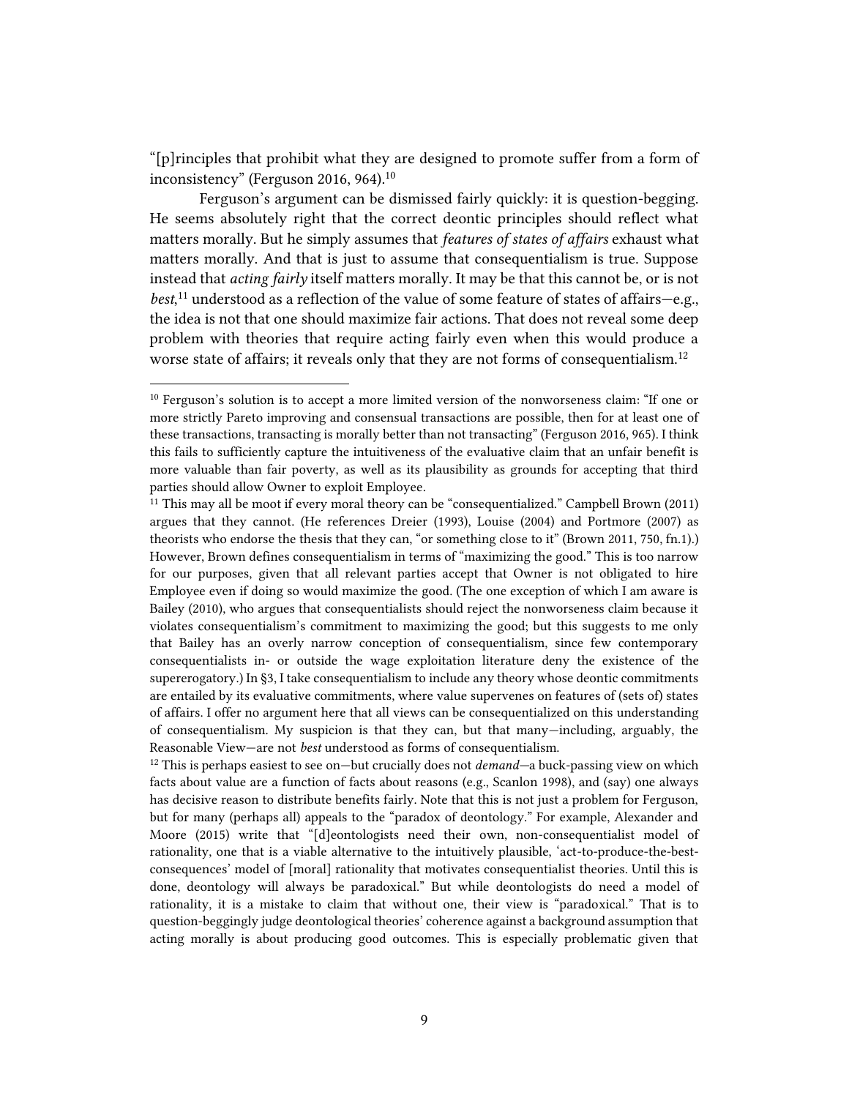"[p]rinciples that prohibit what they are designed to promote suffer from a form of inconsistency" (Ferguson 2016, 964). 10

Ferguson's argument can be dismissed fairly quickly: it is question-begging. He seems absolutely right that the correct deontic principles should reflect what matters morally. But he simply assumes that *features of states of affairs* exhaust what matters morally. And that is just to assume that consequentialism is true. Suppose instead that *acting fairly* itself matters morally. It may be that this cannot be, or is not *best*, <sup>11</sup> understood as a reflection of the value of some feature of states of affairs—e.g., the idea is not that one should maximize fair actions. That does not reveal some deep problem with theories that require acting fairly even when this would produce a worse state of affairs; it reveals only that they are not forms of consequentialism.<sup>12</sup>

 $\overline{a}$ 

<sup>12</sup> This is perhaps easiest to see on—but crucially does not *demand—*a buck-passing view on which facts about value are a function of facts about reasons (e.g., Scanlon 1998), and (say) one always has decisive reason to distribute benefits fairly. Note that this is not just a problem for Ferguson, but for many (perhaps all) appeals to the "paradox of deontology." For example, Alexander and Moore (2015) write that "[d]eontologists need their own, non-consequentialist model of rationality, one that is a viable alternative to the intuitively plausible, 'act-to-produce-the-bestconsequences' model of [moral] rationality that motivates consequentialist theories. Until this is done, deontology will always be paradoxical." But while deontologists do need a model of rationality, it is a mistake to claim that without one, their view is "paradoxical." That is to question-beggingly judge deontological theories' coherence against a background assumption that acting morally is about producing good outcomes. This is especially problematic given that

<sup>10</sup> Ferguson's solution is to accept a more limited version of the nonworseness claim: "If one or more strictly Pareto improving and consensual transactions are possible, then for at least one of these transactions, transacting is morally better than not transacting" (Ferguson 2016, 965). I think this fails to sufficiently capture the intuitiveness of the evaluative claim that an unfair benefit is more valuable than fair poverty, as well as its plausibility as grounds for accepting that third parties should allow Owner to exploit Employee.

<sup>&</sup>lt;sup>11</sup> This may all be moot if every moral theory can be "consequentialized." Campbell Brown (2011) argues that they cannot. (He references Dreier (1993), Louise (2004) and Portmore (2007) as theorists who endorse the thesis that they can, "or something close to it" (Brown 2011, 750, fn.1).) However, Brown defines consequentialism in terms of "maximizing the good." This is too narrow for our purposes, given that all relevant parties accept that Owner is not obligated to hire Employee even if doing so would maximize the good. (The one exception of which I am aware is Bailey (2010), who argues that consequentialists should reject the nonworseness claim because it violates consequentialism's commitment to maximizing the good; but this suggests to me only that Bailey has an overly narrow conception of consequentialism, since few contemporary consequentialists in- or outside the wage exploitation literature deny the existence of the supererogatory.) In §3, I take consequentialism to include any theory whose deontic commitments are entailed by its evaluative commitments, where value supervenes on features of (sets of) states of affairs. I offer no argument here that all views can be consequentialized on this understanding of consequentialism. My suspicion is that they can, but that many—including, arguably, the Reasonable View—are not *best* understood as forms of consequentialism.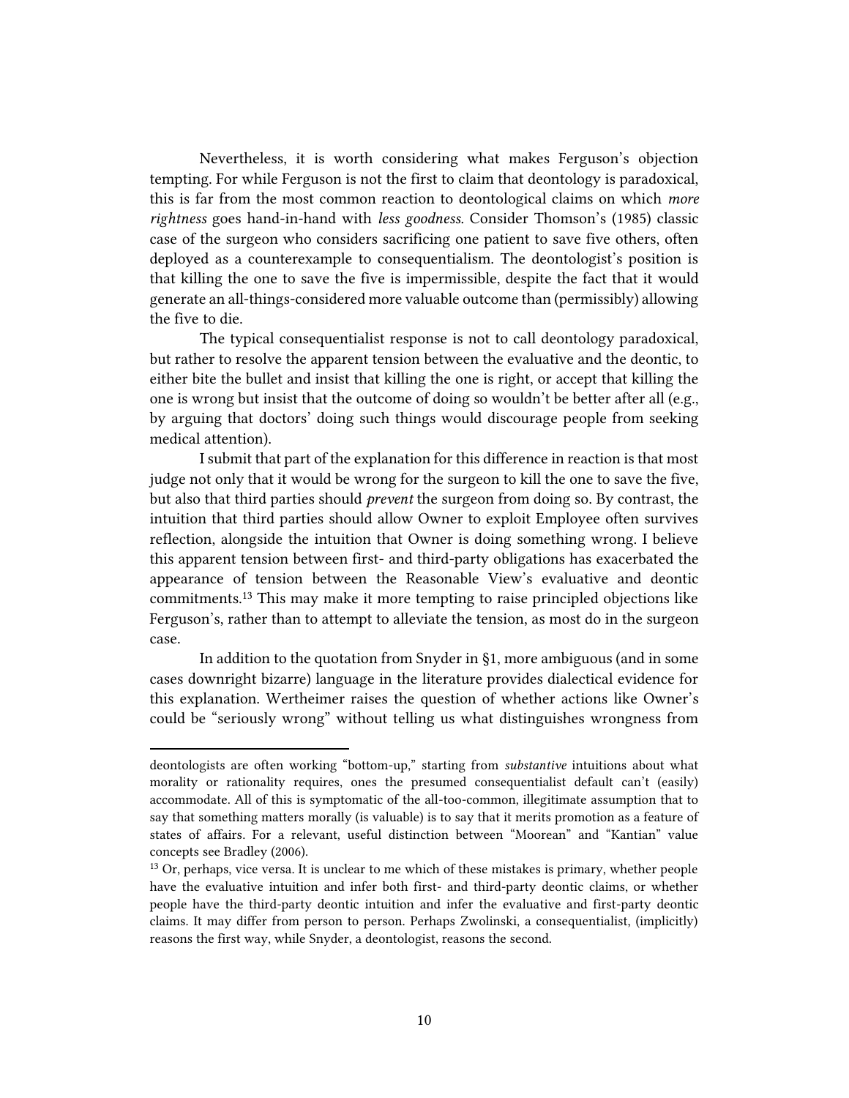Nevertheless, it is worth considering what makes Ferguson's objection tempting. For while Ferguson is not the first to claim that deontology is paradoxical, this is far from the most common reaction to deontological claims on which *more rightness* goes hand-in-hand with *less goodness.* Consider Thomson's (1985) classic case of the surgeon who considers sacrificing one patient to save five others, often deployed as a counterexample to consequentialism. The deontologist's position is that killing the one to save the five is impermissible, despite the fact that it would generate an all-things-considered more valuable outcome than (permissibly) allowing the five to die.

The typical consequentialist response is not to call deontology paradoxical, but rather to resolve the apparent tension between the evaluative and the deontic, to either bite the bullet and insist that killing the one is right, or accept that killing the one is wrong but insist that the outcome of doing so wouldn't be better after all (e.g., by arguing that doctors' doing such things would discourage people from seeking medical attention).

I submit that part of the explanation for this difference in reaction is that most judge not only that it would be wrong for the surgeon to kill the one to save the five, but also that third parties should *prevent* the surgeon from doing so. By contrast, the intuition that third parties should allow Owner to exploit Employee often survives reflection, alongside the intuition that Owner is doing something wrong. I believe this apparent tension between first- and third-party obligations has exacerbated the appearance of tension between the Reasonable View's evaluative and deontic commitments.<sup>13</sup> This may make it more tempting to raise principled objections like Ferguson's, rather than to attempt to alleviate the tension, as most do in the surgeon case.

In addition to the quotation from Snyder in §1, more ambiguous (and in some cases downright bizarre) language in the literature provides dialectical evidence for this explanation. Wertheimer raises the question of whether actions like Owner's could be "seriously wrong" without telling us what distinguishes wrongness from

deontologists are often working "bottom-up," starting from *substantive* intuitions about what morality or rationality requires, ones the presumed consequentialist default can't (easily) accommodate. All of this is symptomatic of the all-too-common, illegitimate assumption that to say that something matters morally (is valuable) is to say that it merits promotion as a feature of states of affairs. For a relevant, useful distinction between "Moorean" and "Kantian" value concepts see Bradley (2006).

<sup>&</sup>lt;sup>13</sup> Or, perhaps, vice versa. It is unclear to me which of these mistakes is primary, whether people have the evaluative intuition and infer both first- and third-party deontic claims, or whether people have the third-party deontic intuition and infer the evaluative and first-party deontic claims. It may differ from person to person. Perhaps Zwolinski, a consequentialist, (implicitly) reasons the first way, while Snyder, a deontologist, reasons the second.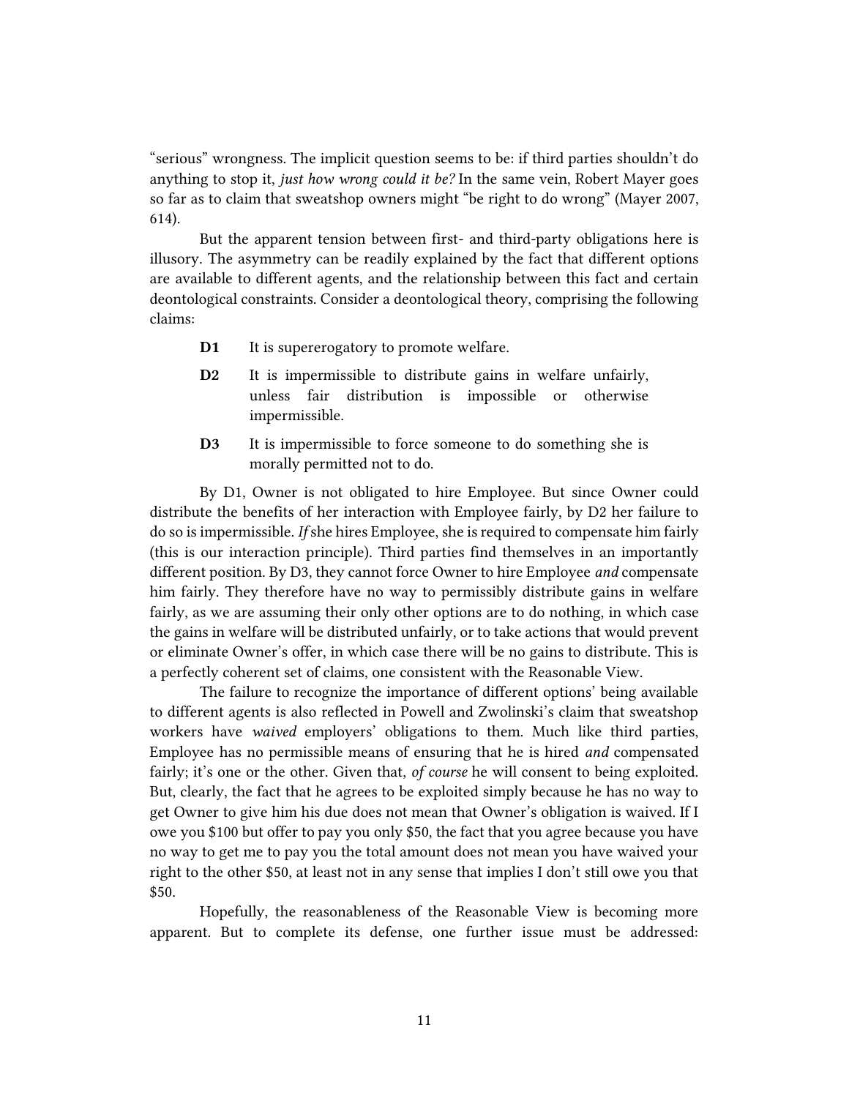"serious" wrongness. The implicit question seems to be: if third parties shouldn't do anything to stop it, *just how wrong could it be?* In the same vein, Robert Mayer goes so far as to claim that sweatshop owners might "be right to do wrong" (Mayer 2007, 614).

But the apparent tension between first- and third-party obligations here is illusory. The asymmetry can be readily explained by the fact that different options are available to different agents, and the relationship between this fact and certain deontological constraints. Consider a deontological theory, comprising the following claims:

- **D1** It is supererogatory to promote welfare.
- **D2** It is impermissible to distribute gains in welfare unfairly, unless fair distribution is impossible or otherwise impermissible.
- **D3** It is impermissible to force someone to do something she is morally permitted not to do.

By D1, Owner is not obligated to hire Employee. But since Owner could distribute the benefits of her interaction with Employee fairly, by D2 her failure to do so is impermissible. *If* she hires Employee, she is required to compensate him fairly (this is our interaction principle). Third parties find themselves in an importantly different position. By D3, they cannot force Owner to hire Employee *and* compensate him fairly. They therefore have no way to permissibly distribute gains in welfare fairly, as we are assuming their only other options are to do nothing, in which case the gains in welfare will be distributed unfairly, or to take actions that would prevent or eliminate Owner's offer, in which case there will be no gains to distribute. This is a perfectly coherent set of claims, one consistent with the Reasonable View.

The failure to recognize the importance of different options' being available to different agents is also reflected in Powell and Zwolinski's claim that sweatshop workers have *waived* employers' obligations to them. Much like third parties, Employee has no permissible means of ensuring that he is hired *and* compensated fairly; it's one or the other. Given that, *of course* he will consent to being exploited. But, clearly, the fact that he agrees to be exploited simply because he has no way to get Owner to give him his due does not mean that Owner's obligation is waived. If I owe you \$100 but offer to pay you only \$50, the fact that you agree because you have no way to get me to pay you the total amount does not mean you have waived your right to the other \$50, at least not in any sense that implies I don't still owe you that \$50.

Hopefully, the reasonableness of the Reasonable View is becoming more apparent. But to complete its defense, one further issue must be addressed: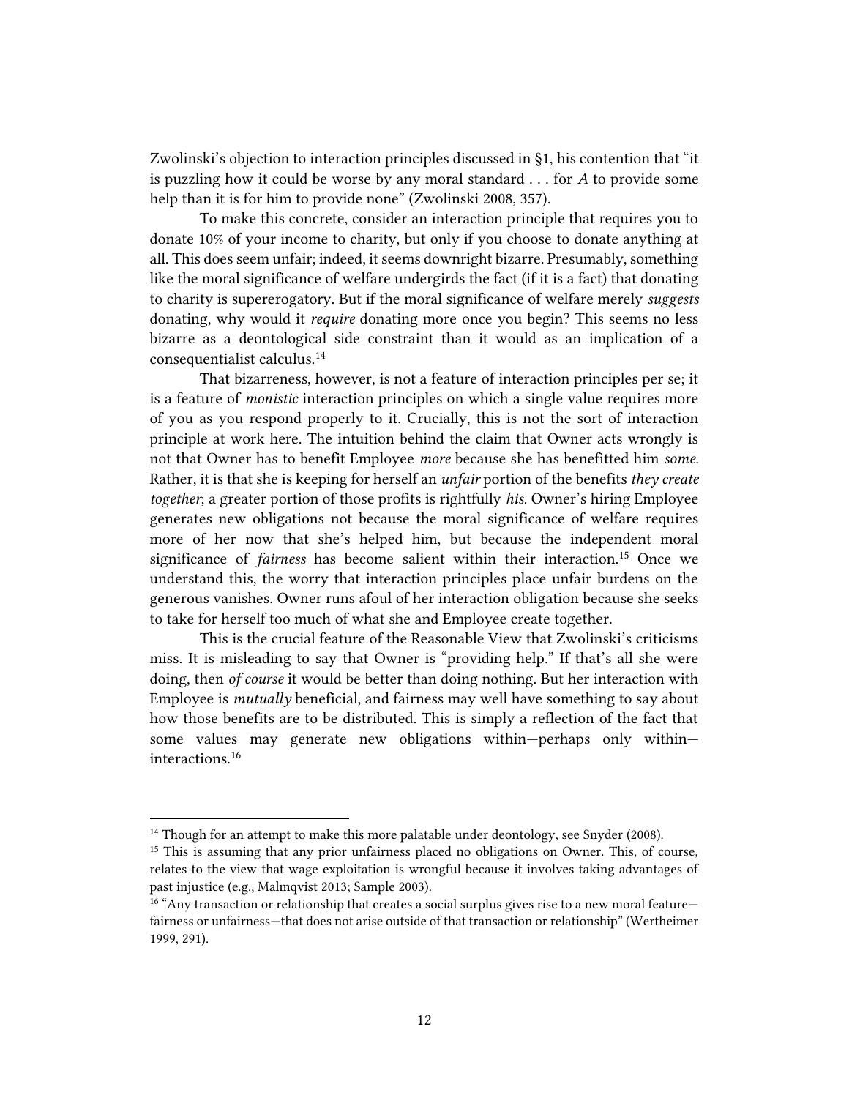Zwolinski's objection to interaction principles discussed in §1, his contention that "it is puzzling how it could be worse by any moral standard . . . for *A* to provide some help than it is for him to provide none" (Zwolinski 2008, 357).

To make this concrete, consider an interaction principle that requires you to donate 10% of your income to charity, but only if you choose to donate anything at all. This does seem unfair; indeed, it seems downright bizarre. Presumably, something like the moral significance of welfare undergirds the fact (if it is a fact) that donating to charity is supererogatory. But if the moral significance of welfare merely *suggests*  donating, why would it *require* donating more once you begin? This seems no less bizarre as a deontological side constraint than it would as an implication of a consequentialist calculus.<sup>14</sup>

That bizarreness, however, is not a feature of interaction principles per se; it is a feature of *monistic* interaction principles on which a single value requires more of you as you respond properly to it. Crucially, this is not the sort of interaction principle at work here. The intuition behind the claim that Owner acts wrongly is not that Owner has to benefit Employee *more* because she has benefitted him *some.*  Rather, it is that she is keeping for herself an *unfair* portion of the benefits *they create together*; a greater portion of those profits is rightfully *his.* Owner's hiring Employee generates new obligations not because the moral significance of welfare requires more of her now that she's helped him, but because the independent moral significance of *fairness* has become salient within their interaction.<sup>15</sup> Once we understand this, the worry that interaction principles place unfair burdens on the generous vanishes. Owner runs afoul of her interaction obligation because she seeks to take for herself too much of what she and Employee create together.

This is the crucial feature of the Reasonable View that Zwolinski's criticisms miss. It is misleading to say that Owner is "providing help." If that's all she were doing, then *of course* it would be better than doing nothing. But her interaction with Employee is *mutually* beneficial, and fairness may well have something to say about how those benefits are to be distributed. This is simply a reflection of the fact that some values may generate new obligations within—perhaps only within interactions.<sup>16</sup>

 $14$  Though for an attempt to make this more palatable under deontology, see Snyder (2008).

<sup>15</sup> This is assuming that any prior unfairness placed no obligations on Owner. This, of course, relates to the view that wage exploitation is wrongful because it involves taking advantages of past injustice (e.g., Malmqvist 2013; Sample 2003).

<sup>&</sup>lt;sup>16</sup> "Any transaction or relationship that creates a social surplus gives rise to a new moral featurefairness or unfairness—that does not arise outside of that transaction or relationship" (Wertheimer 1999, 291).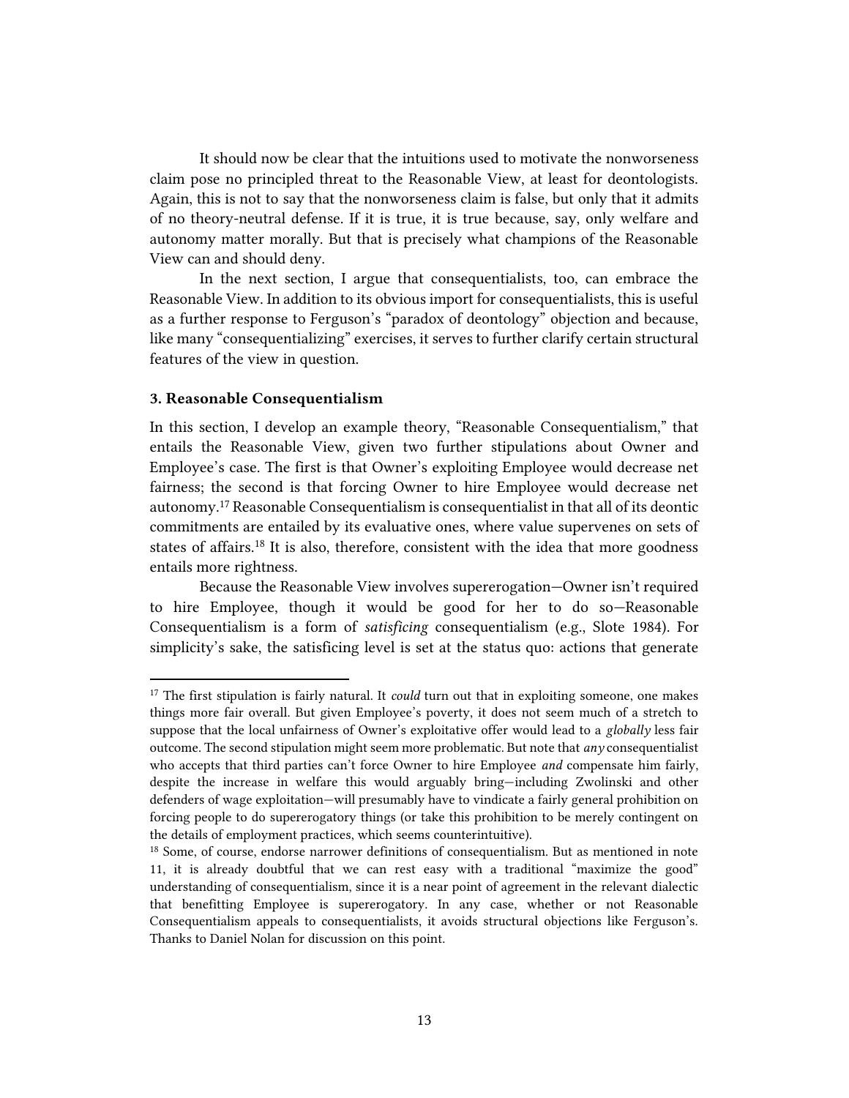It should now be clear that the intuitions used to motivate the nonworseness claim pose no principled threat to the Reasonable View, at least for deontologists. Again, this is not to say that the nonworseness claim is false, but only that it admits of no theory-neutral defense. If it is true, it is true because, say, only welfare and autonomy matter morally. But that is precisely what champions of the Reasonable View can and should deny.

In the next section, I argue that consequentialists, too, can embrace the Reasonable View. In addition to its obvious import for consequentialists, this is useful as a further response to Ferguson's "paradox of deontology" objection and because, like many "consequentializing" exercises, it serves to further clarify certain structural features of the view in question.

### **3. Reasonable Consequentialism**

 $\overline{a}$ 

In this section, I develop an example theory, "Reasonable Consequentialism," that entails the Reasonable View, given two further stipulations about Owner and Employee's case. The first is that Owner's exploiting Employee would decrease net fairness; the second is that forcing Owner to hire Employee would decrease net autonomy.<sup>17</sup> Reasonable Consequentialism is consequentialist in that all of its deontic commitments are entailed by its evaluative ones, where value supervenes on sets of states of affairs.<sup>18</sup> It is also, therefore, consistent with the idea that more goodness entails more rightness.

Because the Reasonable View involves supererogation—Owner isn't required to hire Employee, though it would be good for her to do so—Reasonable Consequentialism is a form of *satisficing* consequentialism (e.g., Slote 1984). For simplicity's sake, the satisficing level is set at the status quo: actions that generate

<sup>17</sup> The first stipulation is fairly natural. It *could* turn out that in exploiting someone, one makes things more fair overall. But given Employee's poverty, it does not seem much of a stretch to suppose that the local unfairness of Owner's exploitative offer would lead to a *globally* less fair outcome. The second stipulation might seem more problematic. But note that *any* consequentialist who accepts that third parties can't force Owner to hire Employee *and* compensate him fairly, despite the increase in welfare this would arguably bring—including Zwolinski and other defenders of wage exploitation—will presumably have to vindicate a fairly general prohibition on forcing people to do supererogatory things (or take this prohibition to be merely contingent on the details of employment practices, which seems counterintuitive).

<sup>&</sup>lt;sup>18</sup> Some, of course, endorse narrower definitions of consequentialism. But as mentioned in note 11, it is already doubtful that we can rest easy with a traditional "maximize the good" understanding of consequentialism, since it is a near point of agreement in the relevant dialectic that benefitting Employee is supererogatory. In any case, whether or not Reasonable Consequentialism appeals to consequentialists, it avoids structural objections like Ferguson's. Thanks to Daniel Nolan for discussion on this point.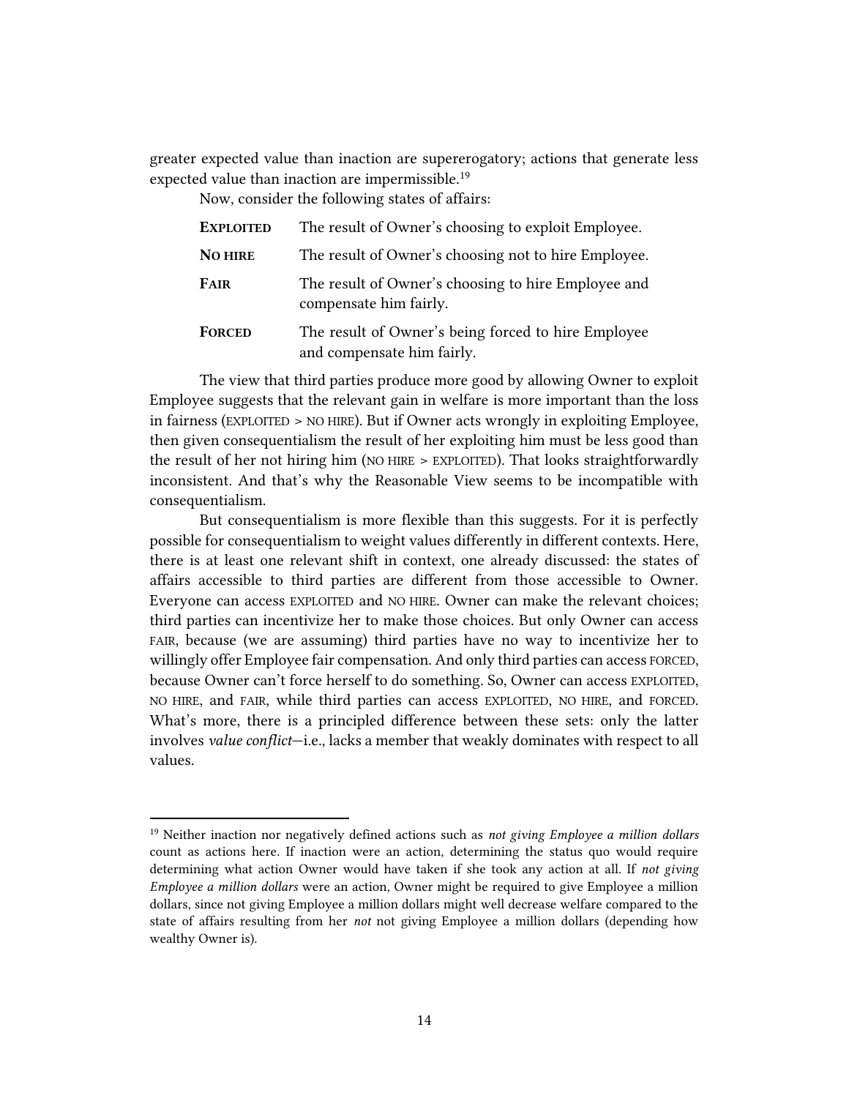greater expected value than inaction are supererogatory; actions that generate less expected value than inaction are impermissible.<sup>19</sup>

Now, consider the following states of affairs:

| <b>EXPLOITED</b> | The result of Owner's choosing to exploit Employee.                               |
|------------------|-----------------------------------------------------------------------------------|
| NO HIRE          | The result of Owner's choosing not to hire Employee.                              |
| FAIR             | The result of Owner's choosing to hire Employee and<br>compensate him fairly.     |
| <b>FORCED</b>    | The result of Owner's being forced to hire Employee<br>and compensate him fairly. |

The view that third parties produce more good by allowing Owner to exploit Employee suggests that the relevant gain in welfare is more important than the loss in fairness (EXPLOITED > NO HIRE). But if Owner acts wrongly in exploiting Employee, then given consequentialism the result of her exploiting him must be less good than the result of her not hiring him (NO HIRE > EXPLOITED). That looks straightforwardly inconsistent. And that's why the Reasonable View seems to be incompatible with consequentialism.

But consequentialism is more flexible than this suggests. For it is perfectly possible for consequentialism to weight values differently in different contexts. Here, there is at least one relevant shift in context, one already discussed: the states of affairs accessible to third parties are different from those accessible to Owner. Everyone can access EXPLOITED and NO HIRE. Owner can make the relevant choices; third parties can incentivize her to make those choices. But only Owner can access FAIR, because (we are assuming) third parties have no way to incentivize her to willingly offer Employee fair compensation. And only third parties can access FORCED, because Owner can't force herself to do something. So, Owner can access EXPLOITED, NO HIRE, and FAIR, while third parties can access EXPLOITED, NO HIRE, and FORCED. What's more, there is a principled difference between these sets: only the latter involves *value conflict*—i.e., lacks a member that weakly dominates with respect to all values.

<sup>19</sup> Neither inaction nor negatively defined actions such as *not giving Employee a million dollars* count as actions here. If inaction were an action, determining the status quo would require determining what action Owner would have taken if she took any action at all. If *not giving Employee a million dollars* were an action, Owner might be required to give Employee a million dollars, since not giving Employee a million dollars might well decrease welfare compared to the state of affairs resulting from her *not* not giving Employee a million dollars (depending how wealthy Owner is).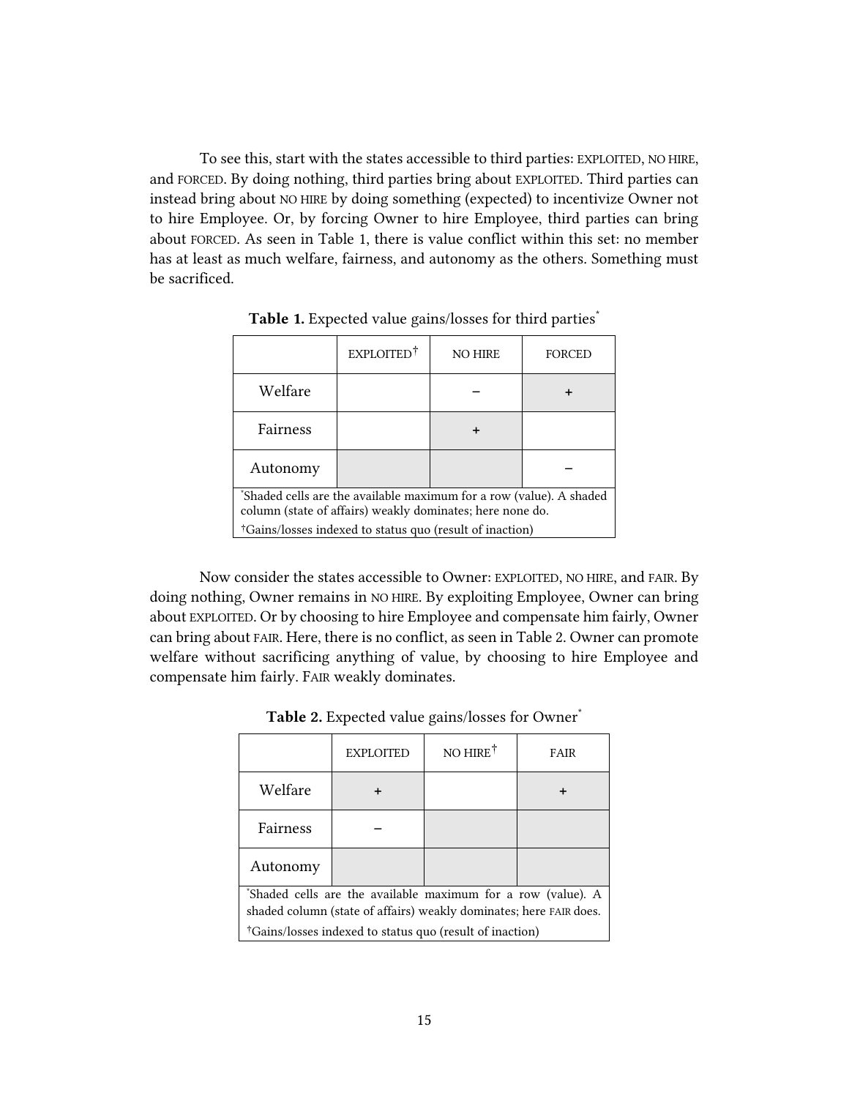To see this, start with the states accessible to third parties: EXPLOITED, NO HIRE, and FORCED. By doing nothing, third parties bring about EXPLOITED. Third parties can instead bring about NO HIRE by doing something (expected) to incentivize Owner not to hire Employee. Or, by forcing Owner to hire Employee, third parties can bring about FORCED. As seen in Table 1, there is value conflict within this set: no member has at least as much welfare, fairness, and autonomy as the others. Something must be sacrificed.

|                                                                                                                                  | <b>EXPLOITED</b> | <b>NO HIRE</b> | FORCED |  |  |
|----------------------------------------------------------------------------------------------------------------------------------|------------------|----------------|--------|--|--|
| Welfare                                                                                                                          |                  |                |        |  |  |
| Fairness                                                                                                                         |                  |                |        |  |  |
| Autonomy                                                                                                                         |                  |                |        |  |  |
| *Shaded cells are the available maximum for a row (value). A shaded<br>column (state of affairs) weakly dominates; here none do. |                  |                |        |  |  |
| <sup>†</sup> Gains/losses indexed to status quo (result of inaction)                                                             |                  |                |        |  |  |

**Table 1.** Expected value gains/losses for third parties\*

Now consider the states accessible to Owner: EXPLOITED, NO HIRE, and FAIR. By doing nothing, Owner remains in NO HIRE. By exploiting Employee, Owner can bring about EXPLOITED. Or by choosing to hire Employee and compensate him fairly, Owner can bring about FAIR. Here, there is no conflict, as seen in Table 2. Owner can promote welfare without sacrificing anything of value, by choosing to hire Employee and compensate him fairly. FAIR weakly dominates.

**Table 2.** Expected value gains/losses for Owner\*

|                                                                                                                                    | <b>EXPLOITED</b> | NO HIRE <sup>T</sup> | FAIR |  |  |  |
|------------------------------------------------------------------------------------------------------------------------------------|------------------|----------------------|------|--|--|--|
| Welfare                                                                                                                            |                  |                      |      |  |  |  |
| Fairness                                                                                                                           |                  |                      |      |  |  |  |
| Autonomy                                                                                                                           |                  |                      |      |  |  |  |
| *Shaded cells are the available maximum for a row (value). A<br>shaded column (state of affairs) weakly dominates; here FAIR does. |                  |                      |      |  |  |  |
| <sup>†</sup> Gains/losses indexed to status quo (result of inaction)                                                               |                  |                      |      |  |  |  |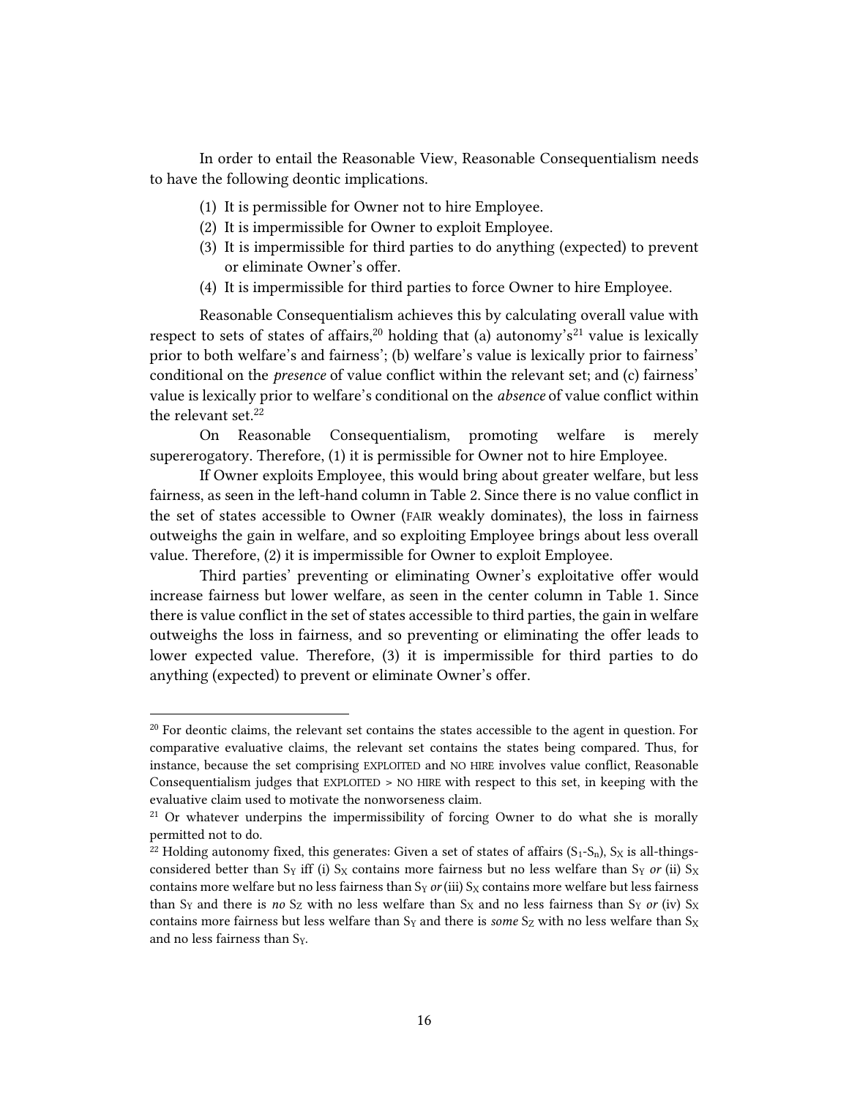In order to entail the Reasonable View, Reasonable Consequentialism needs to have the following deontic implications.

- (1) It is permissible for Owner not to hire Employee.
- (2) It is impermissible for Owner to exploit Employee.
- (3) It is impermissible for third parties to do anything (expected) to prevent or eliminate Owner's offer.
- (4) It is impermissible for third parties to force Owner to hire Employee.

Reasonable Consequentialism achieves this by calculating overall value with respect to sets of states of affairs,<sup>20</sup> holding that (a) autonomy's<sup>21</sup> value is lexically prior to both welfare's and fairness'; (b) welfare's value is lexically prior to fairness' conditional on the *presence* of value conflict within the relevant set; and (c) fairness' value is lexically prior to welfare's conditional on the *absence* of value conflict within the relevant set  $22$ 

On Reasonable Consequentialism, promoting welfare is merely supererogatory. Therefore, (1) it is permissible for Owner not to hire Employee.

If Owner exploits Employee, this would bring about greater welfare, but less fairness, as seen in the left-hand column in Table 2. Since there is no value conflict in the set of states accessible to Owner (FAIR weakly dominates), the loss in fairness outweighs the gain in welfare, and so exploiting Employee brings about less overall value. Therefore, (2) it is impermissible for Owner to exploit Employee.

Third parties' preventing or eliminating Owner's exploitative offer would increase fairness but lower welfare, as seen in the center column in Table 1. Since there is value conflict in the set of states accessible to third parties, the gain in welfare outweighs the loss in fairness, and so preventing or eliminating the offer leads to lower expected value. Therefore, (3) it is impermissible for third parties to do anything (expected) to prevent or eliminate Owner's offer.

 $20$  For deontic claims, the relevant set contains the states accessible to the agent in question. For comparative evaluative claims, the relevant set contains the states being compared. Thus, for instance, because the set comprising EXPLOITED and NO HIRE involves value conflict, Reasonable Consequentialism judges that  $EXPLOTED$  > NO HIRE with respect to this set, in keeping with the evaluative claim used to motivate the nonworseness claim.

 $21$  Or whatever underpins the impermissibility of forcing Owner to do what she is morally permitted not to do.

<sup>&</sup>lt;sup>22</sup> Holding autonomy fixed, this generates: Given a set of states of affairs  $(S_1-S_n)$ ,  $S_X$  is all-thingsconsidered better than S<sub>Y</sub> iff (i) S<sub>X</sub> contains more fairness but no less welfare than S<sub>Y</sub> *or* (ii) S<sub>X</sub> contains more welfare but no less fairness than  $S_Y$  *or* (iii)  $S_X$  contains more welfare but less fairness than S<sub>Y</sub> and there is *no* S<sub>Z</sub> with no less welfare than S<sub>X</sub> and no less fairness than S<sub>Y</sub> *or* (iv) S<sub>X</sub> contains more fairness but less welfare than  $S_Y$  and there is *some*  $S_Z$  with no less welfare than  $S_X$ and no less fairness than SY.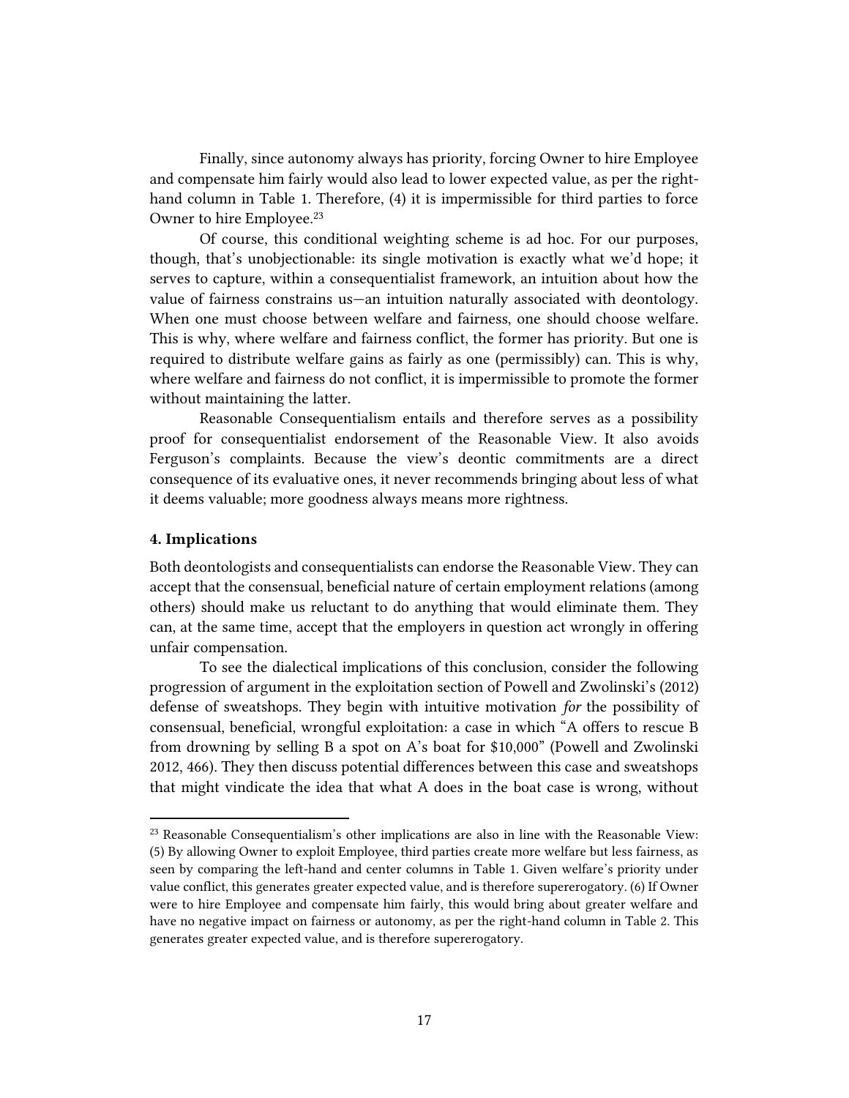Finally, since autonomy always has priority, forcing Owner to hire Employee and compensate him fairly would also lead to lower expected value, as per the righthand column in Table 1. Therefore, (4) it is impermissible for third parties to force Owner to hire Employee.<sup>23</sup>

Of course, this conditional weighting scheme is ad hoc. For our purposes, though, that's unobjectionable: its single motivation is exactly what we'd hope; it serves to capture, within a consequentialist framework, an intuition about how the value of fairness constrains us—an intuition naturally associated with deontology. When one must choose between welfare and fairness, one should choose welfare. This is why, where welfare and fairness conflict, the former has priority. But one is required to distribute welfare gains as fairly as one (permissibly) can. This is why, where welfare and fairness do not conflict, it is impermissible to promote the former without maintaining the latter.

Reasonable Consequentialism entails and therefore serves as a possibility proof for consequentialist endorsement of the Reasonable View. It also avoids Ferguson's complaints. Because the view's deontic commitments are a direct consequence of its evaluative ones, it never recommends bringing about less of what it deems valuable; more goodness always means more rightness.

#### **4. Implications**

 $\overline{a}$ 

Both deontologists and consequentialists can endorse the Reasonable View. They can accept that the consensual, beneficial nature of certain employment relations (among others) should make us reluctant to do anything that would eliminate them. They can, at the same time, accept that the employers in question act wrongly in offering unfair compensation.

To see the dialectical implications of this conclusion, consider the following progression of argument in the exploitation section of Powell and Zwolinski's (2012) defense of sweatshops. They begin with intuitive motivation *for* the possibility of consensual, beneficial, wrongful exploitation: a case in which "A offers to rescue B from drowning by selling B a spot on A's boat for \$10,000" (Powell and Zwolinski 2012, 466). They then discuss potential differences between this case and sweatshops that might vindicate the idea that what A does in the boat case is wrong, without

 $23$  Reasonable Consequentialism's other implications are also in line with the Reasonable View: (5) By allowing Owner to exploit Employee, third parties create more welfare but less fairness, as seen by comparing the left-hand and center columns in Table 1. Given welfare's priority under value conflict, this generates greater expected value, and is therefore supererogatory. (6) If Owner were to hire Employee and compensate him fairly, this would bring about greater welfare and have no negative impact on fairness or autonomy, as per the right-hand column in Table 2. This generates greater expected value, and is therefore supererogatory.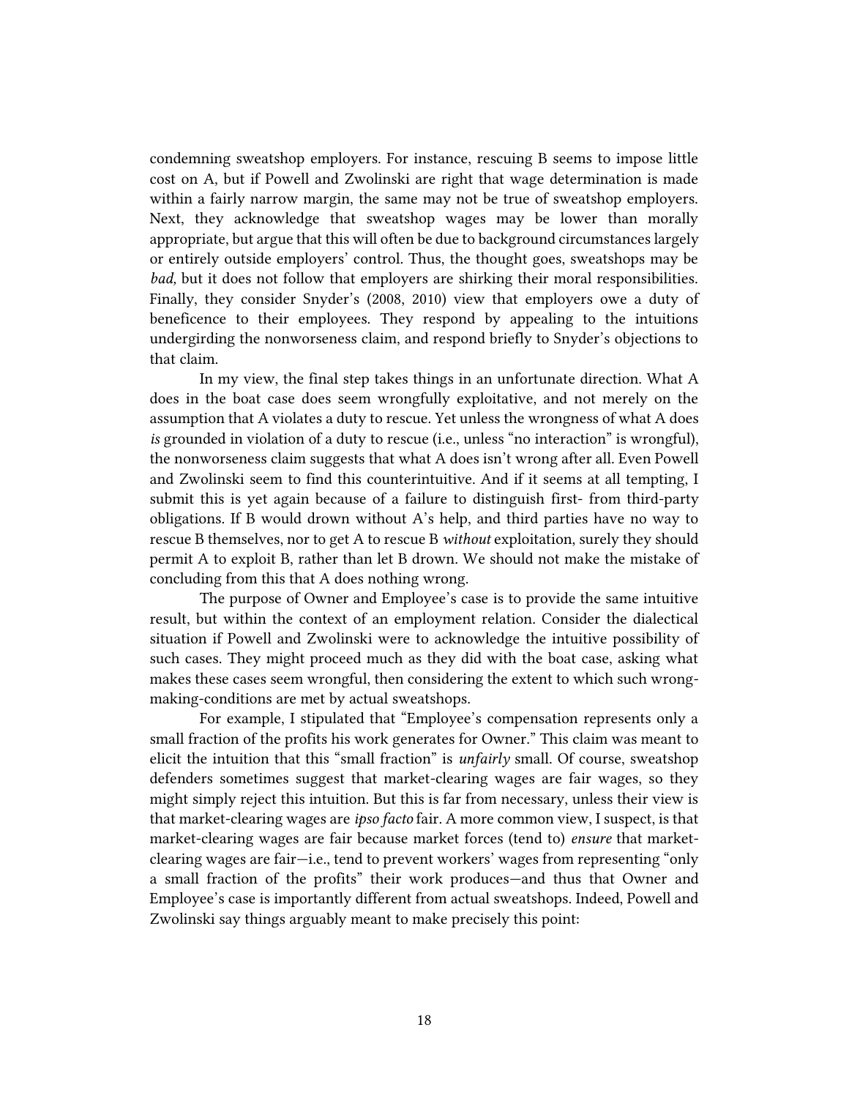condemning sweatshop employers. For instance, rescuing B seems to impose little cost on A, but if Powell and Zwolinski are right that wage determination is made within a fairly narrow margin, the same may not be true of sweatshop employers. Next, they acknowledge that sweatshop wages may be lower than morally appropriate, but argue that this will often be due to background circumstances largely or entirely outside employers' control. Thus, the thought goes, sweatshops may be *bad,* but it does not follow that employers are shirking their moral responsibilities. Finally, they consider Snyder's (2008, 2010) view that employers owe a duty of beneficence to their employees. They respond by appealing to the intuitions undergirding the nonworseness claim, and respond briefly to Snyder's objections to that claim.

In my view, the final step takes things in an unfortunate direction. What A does in the boat case does seem wrongfully exploitative, and not merely on the assumption that A violates a duty to rescue. Yet unless the wrongness of what A does *is* grounded in violation of a duty to rescue (i.e., unless "no interaction" is wrongful), the nonworseness claim suggests that what A does isn't wrong after all. Even Powell and Zwolinski seem to find this counterintuitive. And if it seems at all tempting, I submit this is yet again because of a failure to distinguish first- from third-party obligations. If B would drown without A's help, and third parties have no way to rescue B themselves, nor to get A to rescue B *without* exploitation, surely they should permit A to exploit B, rather than let B drown. We should not make the mistake of concluding from this that A does nothing wrong.

The purpose of Owner and Employee's case is to provide the same intuitive result, but within the context of an employment relation. Consider the dialectical situation if Powell and Zwolinski were to acknowledge the intuitive possibility of such cases. They might proceed much as they did with the boat case, asking what makes these cases seem wrongful, then considering the extent to which such wrongmaking-conditions are met by actual sweatshops.

For example, I stipulated that "Employee's compensation represents only a small fraction of the profits his work generates for Owner." This claim was meant to elicit the intuition that this "small fraction" is *unfairly* small. Of course, sweatshop defenders sometimes suggest that market-clearing wages are fair wages, so they might simply reject this intuition. But this is far from necessary, unless their view is that market-clearing wages are *ipso facto* fair. A more common view, I suspect, is that market-clearing wages are fair because market forces (tend to) *ensure* that marketclearing wages are fair—i.e., tend to prevent workers' wages from representing "only a small fraction of the profits" their work produces—and thus that Owner and Employee's case is importantly different from actual sweatshops. Indeed, Powell and Zwolinski say things arguably meant to make precisely this point: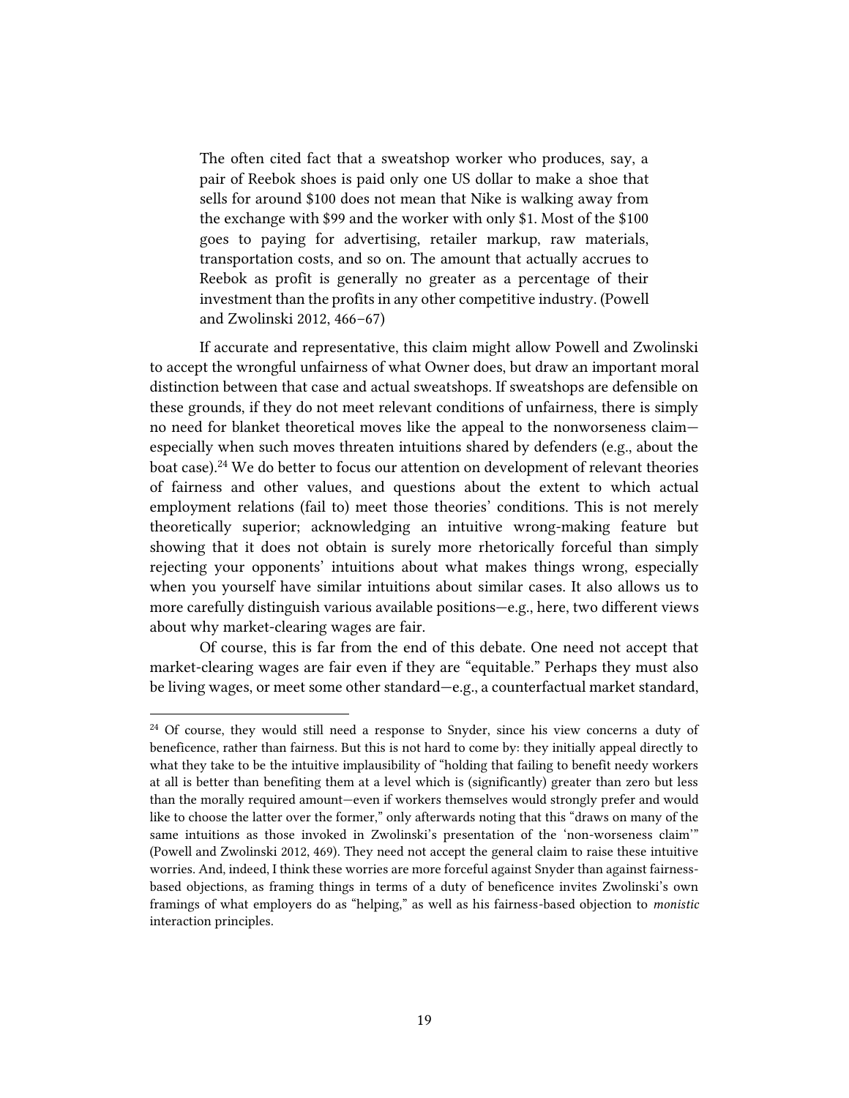The often cited fact that a sweatshop worker who produces, say, a pair of Reebok shoes is paid only one US dollar to make a shoe that sells for around \$100 does not mean that Nike is walking away from the exchange with \$99 and the worker with only \$1. Most of the \$100 goes to paying for advertising, retailer markup, raw materials, transportation costs, and so on. The amount that actually accrues to Reebok as profit is generally no greater as a percentage of their investment than the profits in any other competitive industry. (Powell and Zwolinski 2012, 466–67)

If accurate and representative, this claim might allow Powell and Zwolinski to accept the wrongful unfairness of what Owner does, but draw an important moral distinction between that case and actual sweatshops. If sweatshops are defensible on these grounds, if they do not meet relevant conditions of unfairness, there is simply no need for blanket theoretical moves like the appeal to the nonworseness claim especially when such moves threaten intuitions shared by defenders (e.g., about the boat case).<sup>24</sup> We do better to focus our attention on development of relevant theories of fairness and other values, and questions about the extent to which actual employment relations (fail to) meet those theories' conditions. This is not merely theoretically superior; acknowledging an intuitive wrong-making feature but showing that it does not obtain is surely more rhetorically forceful than simply rejecting your opponents' intuitions about what makes things wrong, especially when you yourself have similar intuitions about similar cases. It also allows us to more carefully distinguish various available positions—e.g., here, two different views about why market-clearing wages are fair.

Of course, this is far from the end of this debate. One need not accept that market-clearing wages are fair even if they are "equitable." Perhaps they must also be living wages, or meet some other standard—e.g., a counterfactual market standard,

<sup>&</sup>lt;sup>24</sup> Of course, they would still need a response to Snyder, since his view concerns a duty of beneficence, rather than fairness. But this is not hard to come by: they initially appeal directly to what they take to be the intuitive implausibility of "holding that failing to benefit needy workers at all is better than benefiting them at a level which is (significantly) greater than zero but less than the morally required amount—even if workers themselves would strongly prefer and would like to choose the latter over the former," only afterwards noting that this "draws on many of the same intuitions as those invoked in Zwolinski's presentation of the 'non-worseness claim'" (Powell and Zwolinski 2012, 469). They need not accept the general claim to raise these intuitive worries. And, indeed, I think these worries are more forceful against Snyder than against fairnessbased objections, as framing things in terms of a duty of beneficence invites Zwolinski's own framings of what employers do as "helping," as well as his fairness-based objection to *monistic*  interaction principles.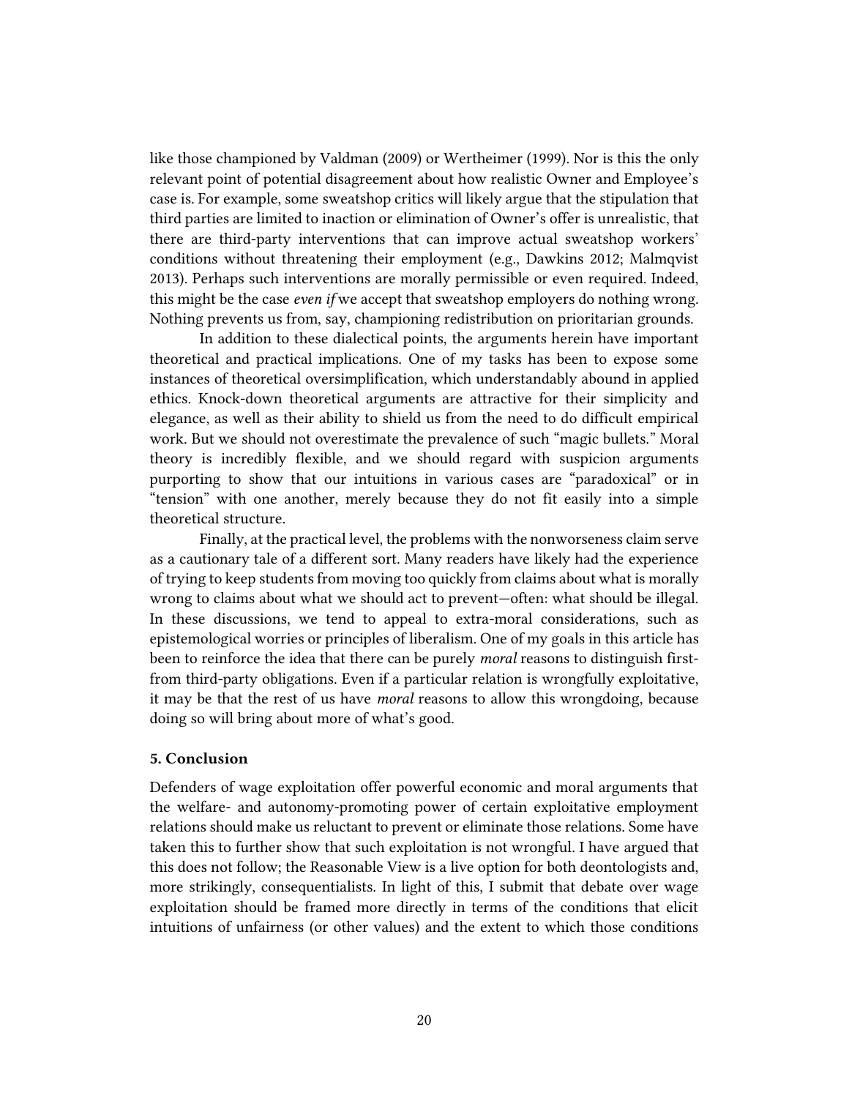like those championed by Valdman (2009) or Wertheimer (1999). Nor is this the only relevant point of potential disagreement about how realistic Owner and Employee's case is. For example, some sweatshop critics will likely argue that the stipulation that third parties are limited to inaction or elimination of Owner's offer is unrealistic, that there are third-party interventions that can improve actual sweatshop workers' conditions without threatening their employment (e.g., Dawkins 2012; Malmqvist 2013). Perhaps such interventions are morally permissible or even required. Indeed, this might be the case *even if* we accept that sweatshop employers do nothing wrong. Nothing prevents us from, say, championing redistribution on prioritarian grounds.

In addition to these dialectical points, the arguments herein have important theoretical and practical implications. One of my tasks has been to expose some instances of theoretical oversimplification, which understandably abound in applied ethics. Knock-down theoretical arguments are attractive for their simplicity and elegance, as well as their ability to shield us from the need to do difficult empirical work. But we should not overestimate the prevalence of such "magic bullets." Moral theory is incredibly flexible, and we should regard with suspicion arguments purporting to show that our intuitions in various cases are "paradoxical" or in "tension" with one another, merely because they do not fit easily into a simple theoretical structure.

Finally, at the practical level, the problems with the nonworseness claim serve as a cautionary tale of a different sort. Many readers have likely had the experience of trying to keep students from moving too quickly from claims about what is morally wrong to claims about what we should act to prevent—often: what should be illegal. In these discussions, we tend to appeal to extra-moral considerations, such as epistemological worries or principles of liberalism. One of my goals in this article has been to reinforce the idea that there can be purely *moral* reasons to distinguish firstfrom third-party obligations. Even if a particular relation is wrongfully exploitative, it may be that the rest of us have *moral* reasons to allow this wrongdoing, because doing so will bring about more of what's good.

### **5. Conclusion**

Defenders of wage exploitation offer powerful economic and moral arguments that the welfare- and autonomy-promoting power of certain exploitative employment relations should make us reluctant to prevent or eliminate those relations. Some have taken this to further show that such exploitation is not wrongful. I have argued that this does not follow; the Reasonable View is a live option for both deontologists and, more strikingly, consequentialists. In light of this, I submit that debate over wage exploitation should be framed more directly in terms of the conditions that elicit intuitions of unfairness (or other values) and the extent to which those conditions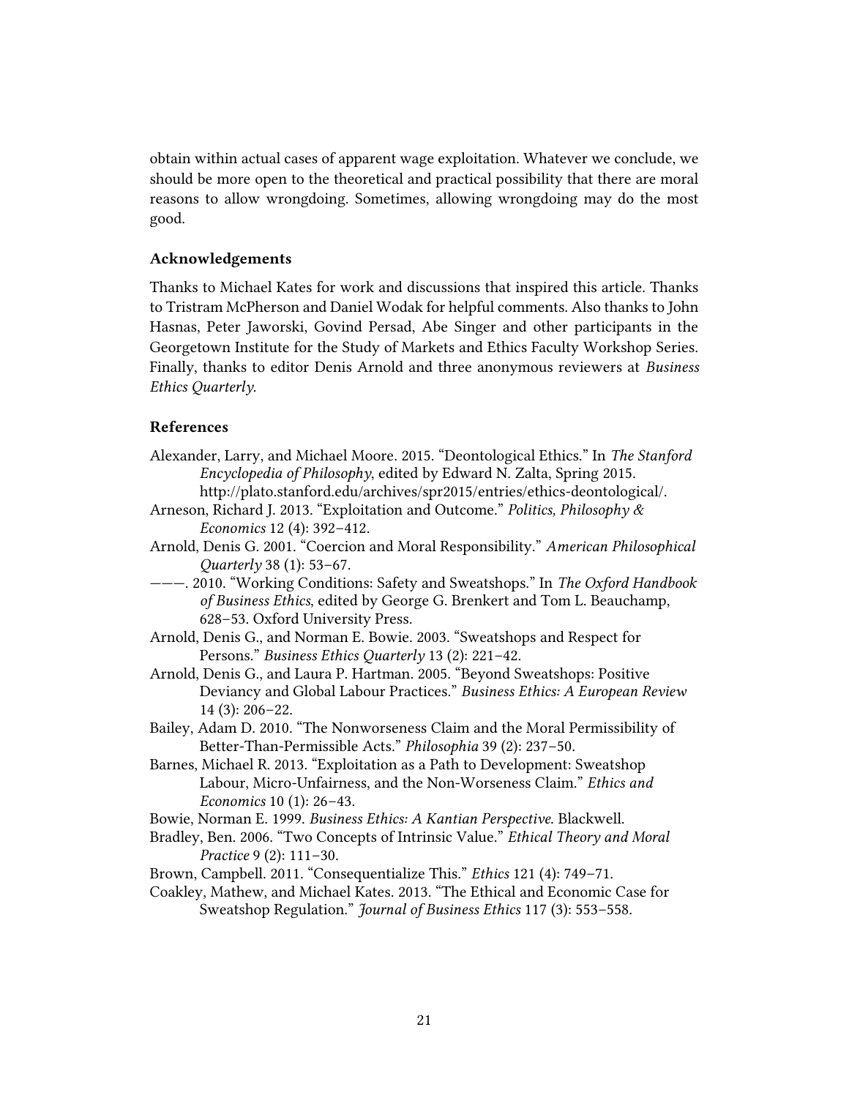obtain within actual cases of apparent wage exploitation. Whatever we conclude, we should be more open to the theoretical and practical possibility that there are moral reasons to allow wrongdoing. Sometimes, allowing wrongdoing may do the most good.

### **Acknowledgements**

Thanks to Michael Kates for work and discussions that inspired this article. Thanks to Tristram McPherson and Daniel Wodak for helpful comments. Also thanks to John Hasnas, Peter Jaworski, Govind Persad, Abe Singer and other participants in the Georgetown Institute for the Study of Markets and Ethics Faculty Workshop Series. Finally, thanks to editor Denis Arnold and three anonymous reviewers at *Business Ethics Quarterly.*

## **References**

Alexander, Larry, and Michael Moore. 2015. "Deontological Ethics." In *The Stanford Encyclopedia of Philosophy*, edited by Edward N. Zalta, Spring 2015. http://plato.stanford.edu/archives/spr2015/entries/ethics-deontological/.

Arneson, Richard J. 2013. "Exploitation and Outcome." *Politics, Philosophy &* 

*Economics* 12 (4): 392–412.

- Arnold, Denis G. 2001. "Coercion and Moral Responsibility." *American Philosophical Quarterly* 38 (1): 53–67.
- ———. 2010. "Working Conditions: Safety and Sweatshops." In *The Oxford Handbook of Business Ethics*, edited by George G. Brenkert and Tom L. Beauchamp, 628–53. Oxford University Press.
- Arnold, Denis G., and Norman E. Bowie. 2003. "Sweatshops and Respect for Persons." *Business Ethics Quarterly* 13 (2): 221–42.
- Arnold, Denis G., and Laura P. Hartman. 2005. "Beyond Sweatshops: Positive Deviancy and Global Labour Practices." *Business Ethics: A European Review* 14 (3): 206–22.
- Bailey, Adam D. 2010. "The Nonworseness Claim and the Moral Permissibility of Better-Than-Permissible Acts." *Philosophia* 39 (2): 237–50.
- Barnes, Michael R. 2013. "Exploitation as a Path to Development: Sweatshop Labour, Micro-Unfairness, and the Non-Worseness Claim." *Ethics and Economics* 10 (1): 26–43.
- Bowie, Norman E. 1999. *Business Ethics: A Kantian Perspective*. Blackwell.
- Bradley, Ben. 2006. "Two Concepts of Intrinsic Value." *Ethical Theory and Moral Practice* 9 (2): 111–30.
- Brown, Campbell. 2011. "Consequentialize This." *Ethics* 121 (4): 749–71.
- Coakley, Mathew, and Michael Kates. 2013. "The Ethical and Economic Case for Sweatshop Regulation." *Journal of Business Ethics* 117 (3): 553–558.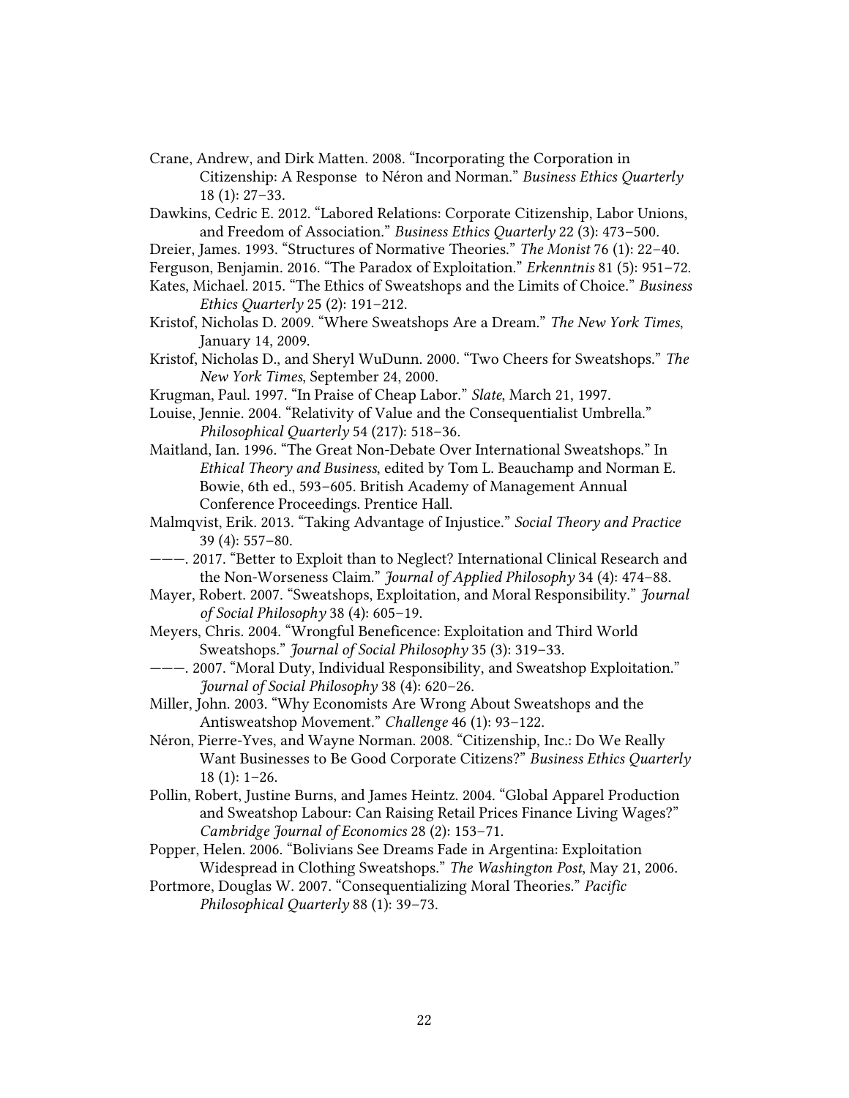- Crane, Andrew, and Dirk Matten. 2008. "Incorporating the Corporation in Citizenship: A Response to Néron and Norman." *Business Ethics Quarterly* 18 (1): 27–33.
- Dawkins, Cedric E. 2012. "Labored Relations: Corporate Citizenship, Labor Unions, and Freedom of Association." *Business Ethics Quarterly* 22 (3): 473–500.
- Dreier, James. 1993. "Structures of Normative Theories." *The Monist* 76 (1): 22–40.
- Ferguson, Benjamin. 2016. "The Paradox of Exploitation." *Erkenntnis* 81 (5): 951–72.
- Kates, Michael. 2015. "The Ethics of Sweatshops and the Limits of Choice." *Business Ethics Quarterly* 25 (2): 191–212.
- Kristof, Nicholas D. 2009. "Where Sweatshops Are a Dream." *The New York Times*, January 14, 2009.
- Kristof, Nicholas D., and Sheryl WuDunn. 2000. "Two Cheers for Sweatshops." *The New York Times*, September 24, 2000.
- Krugman, Paul. 1997. "In Praise of Cheap Labor." *Slate*, March 21, 1997.
- Louise, Jennie. 2004. "Relativity of Value and the Consequentialist Umbrella." *Philosophical Quarterly* 54 (217): 518–36.
- Maitland, Ian. 1996. "The Great Non-Debate Over International Sweatshops." In *Ethical Theory and Business*, edited by Tom L. Beauchamp and Norman E. Bowie, 6th ed., 593–605. British Academy of Management Annual Conference Proceedings. Prentice Hall.
- Malmqvist, Erik. 2013. "Taking Advantage of Injustice." *Social Theory and Practice* 39 (4): 557–80.
- ———. 2017. "Better to Exploit than to Neglect? International Clinical Research and the Non-Worseness Claim." *Journal of Applied Philosophy* 34 (4): 474–88.
- Mayer, Robert. 2007. "Sweatshops, Exploitation, and Moral Responsibility." *Journal of Social Philosophy* 38 (4): 605–19.
- Meyers, Chris. 2004. "Wrongful Beneficence: Exploitation and Third World Sweatshops." *Journal of Social Philosophy* 35 (3): 319–33.
- ———. 2007. "Moral Duty, Individual Responsibility, and Sweatshop Exploitation." *Journal of Social Philosophy* 38 (4): 620–26.
- Miller, John. 2003. "Why Economists Are Wrong About Sweatshops and the Antisweatshop Movement." *Challenge* 46 (1): 93–122.
- Néron, Pierre-Yves, and Wayne Norman. 2008. "Citizenship, Inc.: Do We Really Want Businesses to Be Good Corporate Citizens?" *Business Ethics Quarterly* 18 (1): 1–26.
- Pollin, Robert, Justine Burns, and James Heintz. 2004. "Global Apparel Production and Sweatshop Labour: Can Raising Retail Prices Finance Living Wages?" *Cambridge Journal of Economics* 28 (2): 153–71.
- Popper, Helen. 2006. "Bolivians See Dreams Fade in Argentina: Exploitation Widespread in Clothing Sweatshops." *The Washington Post*, May 21, 2006.
- Portmore, Douglas W. 2007. "Consequentializing Moral Theories." *Pacific Philosophical Quarterly* 88 (1): 39–73.